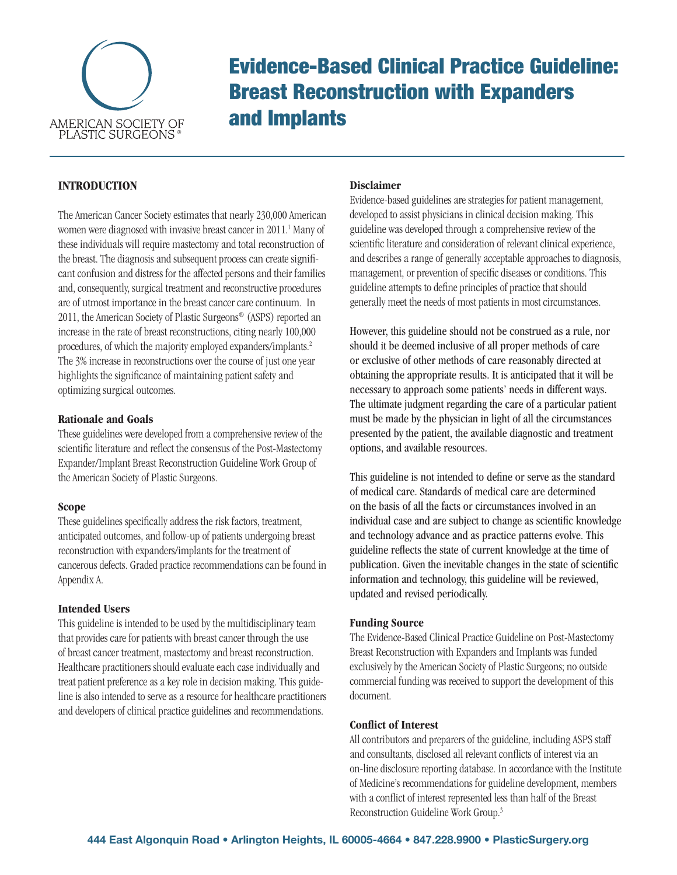

# Evidence-Based Clinical Practice Guideline: Breast Reconstruction with Expanders and Implants

# **INTRODUCTION**

The American Cancer Society estimates that nearly 230,000 American women were diagnosed with invasive breast cancer in 2011.<sup>1</sup> Many of these individuals will require mastectomy and total reconstruction of the breast. The diagnosis and subsequent process can create significant confusion and distress for the affected persons and their families and, consequently, surgical treatment and reconstructive procedures are of utmost importance in the breast cancer care continuum. In 2011, the American Society of Plastic Surgeons® (ASPS) reported an increase in the rate of breast reconstructions, citing nearly 100,000 procedures, of which the majority employed expanders/implants.2 The 3% increase in reconstructions over the course of just one year highlights the significance of maintaining patient safety and optimizing surgical outcomes.

#### **Rationale and Goals**

These guidelines were developed from a comprehensive review of the scientific literature and reflect the consensus of the Post-Mastectomy Expander/Implant Breast Reconstruction Guideline Work Group of the American Society of Plastic Surgeons.

## **Scope**

These guidelines specifically address the risk factors, treatment, anticipated outcomes, and follow-up of patients undergoing breast reconstruction with expanders/implants for the treatment of cancerous defects. Graded practice recommendations can be found in Appendix A.

## **Intended Users**

This guideline is intended to be used by the multidisciplinary team that provides care for patients with breast cancer through the use of breast cancer treatment, mastectomy and breast reconstruction. Healthcare practitioners should evaluate each case individually and treat patient preference as a key role in decision making. This guideline is also intended to serve as a resource for healthcare practitioners and developers of clinical practice guidelines and recommendations.

#### **Disclaimer**

Evidence-based guidelines are strategies for patient management, developed to assist physicians in clinical decision making. This guideline was developed through a comprehensive review of the scientific literature and consideration of relevant clinical experience, and describes a range of generally acceptable approaches to diagnosis, management, or prevention of specific diseases or conditions. This guideline attempts to define principles of practice that should generally meet the needs of most patients in most circumstances.

However, this guideline should not be construed as a rule, nor should it be deemed inclusive of all proper methods of care or exclusive of other methods of care reasonably directed at obtaining the appropriate results. It is anticipated that it will be necessary to approach some patients' needs in different ways. The ultimate judgment regarding the care of a particular patient must be made by the physician in light of all the circumstances presented by the patient, the available diagnostic and treatment options, and available resources.

This guideline is not intended to define or serve as the standard of medical care. Standards of medical care are determined on the basis of all the facts or circumstances involved in an individual case and are subject to change as scientific knowledge and technology advance and as practice patterns evolve. This guideline reflects the state of current knowledge at the time of publication. Given the inevitable changes in the state of scientific information and technology, this guideline will be reviewed, updated and revised periodically.

#### **Funding Source**

The Evidence-Based Clinical Practice Guideline on Post-Mastectomy Breast Reconstruction with Expanders and Implants was funded exclusively by the American Society of Plastic Surgeons; no outside commercial funding was received to support the development of this document.

#### **Conflict of Interest**

All contributors and preparers of the guideline, including ASPS staff and consultants, disclosed all relevant conflicts of interest via an on-line disclosure reporting database. In accordance with the Institute of Medicine's recommendations for guideline development, members with a conflict of interest represented less than half of the Breast Reconstruction Guideline Work Group.3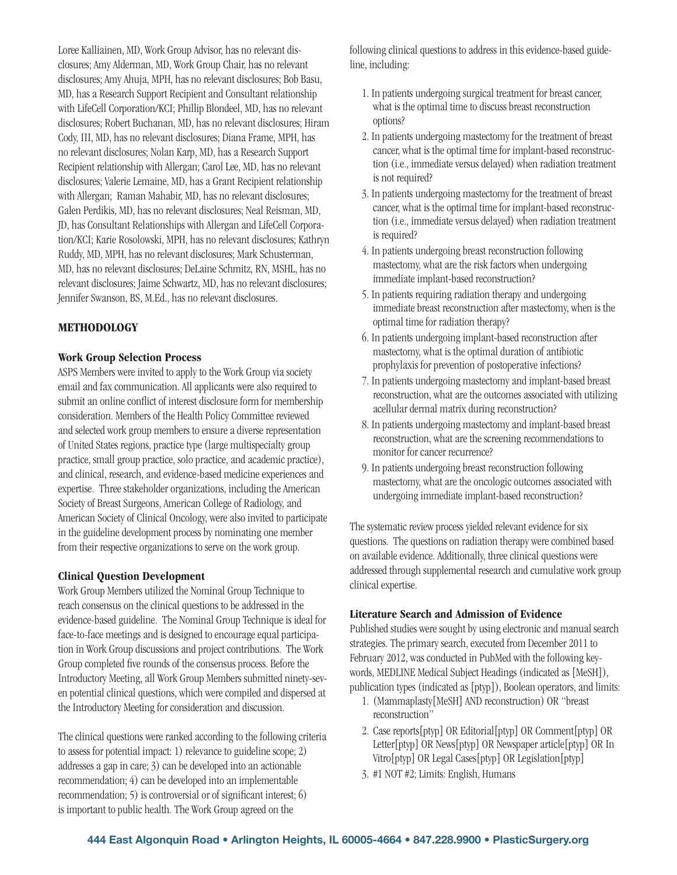Loree Kalliainen, MD, Work Group Advisor, has no relevant disclosures; Amy Alderman, MD, Work Group Chair, has no relevant disclosures; Amy Ahuja, MPH, has no relevant disclosures; Bob Basu, MD, has a Research Support Recipient and Consultant relationship with LifeCell Corporation/KCI; Phillip Blondeel, MD, has no relevant disclosures; Robert Buchanan, MD, has no relevant disclosures; Hiram Cody, III, MD, has no relevant disclosures; Diana Frame, MPH, has no relevant disclosures; Nolan Karp, MD, has a Research Support Recipient relationship with Allergan; Carol Lee, MD, has no relevant disclosures; Valerie Lemaine, MD, has a Grant Recipient relationship with Allergan; Raman Mahabir, MD, has no relevant disclosures; Galen Perdikis, MD, has no relevant disclosures; Neal Reisman, MD, JD, has Consultant Relationships with Allergan and LifeCell Corporation/KCI; Karie Rosolowski, MPH, has no relevant disclosures; Kathryn Ruddy, MD, MPH, has no relevant disclosures; Mark Schusterman, MD, has no relevant disclosures; DeLaine Schmitz, RN, MSHL, has no relevant disclosures; Jaime Schwartz, MD, has no relevant disclosures; Jennifer Swanson, BS, M.Ed., has no relevant disclosures.

## **METHODOLOGY**

## **Work Group Selection Process**

ASPS Members were invited to apply to the Work Group via society email and fax communication. All applicants were also required to submit an online conflict of interest disclosure form for membership consideration. Members of the Health Policy Committee reviewed and selected work group members to ensure a diverse representation of United States regions, practice type (large multispecialty group practice, small group practice, solo practice, and academic practice), and clinical, research, and evidence-based medicine experiences and expertise. Three stakeholder organizations, including the American Society of Breast Surgeons, American College of Radiology, and American Society of Clinical Oncology, were also invited to participate in the guideline development process by nominating one member from their respective organizations to serve on the work group.

## **Clinical Question Development**

Work Group Members utilized the Nominal Group Technique to reach consensus on the clinical questions to be addressed in the evidence-based guideline. The Nominal Group Technique is ideal for face-to-face meetings and is designed to encourage equal participation in Work Group discussions and project contributions. The Work Group completed five rounds of the consensus process. Before the Introductory Meeting, all Work Group Members submitted ninety-seven potential clinical questions, which were compiled and dispersed at the Introductory Meeting for consideration and discussion.

The clinical questions were ranked according to the following criteria to assess for potential impact: 1) relevance to guideline scope; 2) addresses a gap in care; 3) can be developed into an actionable recommendation; 4) can be developed into an implementable recommendation; 5) is controversial or of significant interest; 6) is important to public health. The Work Group agreed on the

following clinical questions to address in this evidence-based guideline, including:

- 1. In patients undergoing surgical treatment for breast cancer, what is the optimal time to discuss breast reconstruction options?
- 2. In patients undergoing mastectomy for the treatment of breast cancer, what is the optimal time for implant-based reconstruction (i.e., immediate versus delayed) when radiation treatment is not required?
- 3. In patients undergoing mastectomy for the treatment of breast cancer, what is the optimal time for implant-based reconstruction (i.e., immediate versus delayed) when radiation treatment is required?
- 4. In patients undergoing breast reconstruction following mastectomy, what are the risk factors when undergoing immediate implant-based reconstruction?
- 5. In patients requiring radiation therapy and undergoing immediate breast reconstruction after mastectomy, when is the optimal time for radiation therapy?
- 6. In patients undergoing implant-based reconstruction after mastectomy, what is the optimal duration of antibiotic prophylaxis for prevention of postoperative infections?
- 7. In patients undergoing mastectomy and implant-based breast reconstruction, what are the outcomes associated with utilizing acellular dermal matrix during reconstruction?
- 8. In patients undergoing mastectomy and implant-based breast reconstruction, what are the screening recommendations to monitor for cancer recurrence?
- 9. In patients undergoing breast reconstruction following mastectomy, what are the oncologic outcomes associated with undergoing immediate implant-based reconstruction?

The systematic review process yielded relevant evidence for six questions. The questions on radiation therapy were combined based on available evidence. Additionally, three clinical questions were addressed through supplemental research and cumulative work group clinical expertise.

# **Literature Search and Admission of Evidence**

Published studies were sought by using electronic and manual search strategies. The primary search, executed from December 2011 to February 2012, was conducted in PubMed with the following keywords, MEDLINE Medical Subject Headings (indicated as [MeSH]), publication types (indicated as [ptyp]), Boolean operators, and limits:

- 1. (Mammaplasty[MeSH] AND reconstruction) OR "breast reconstruction"
- 2. Case reports[ptyp] OR Editorial[ptyp] OR Comment[ptyp] OR Letter[ptyp] OR News[ptyp] OR Newspaper article[ptyp] OR In Vitro[ptyp] OR Legal Cases[ptyp] OR Legislation[ptyp]
- 3. #1 NOT #2; Limits: English, Humans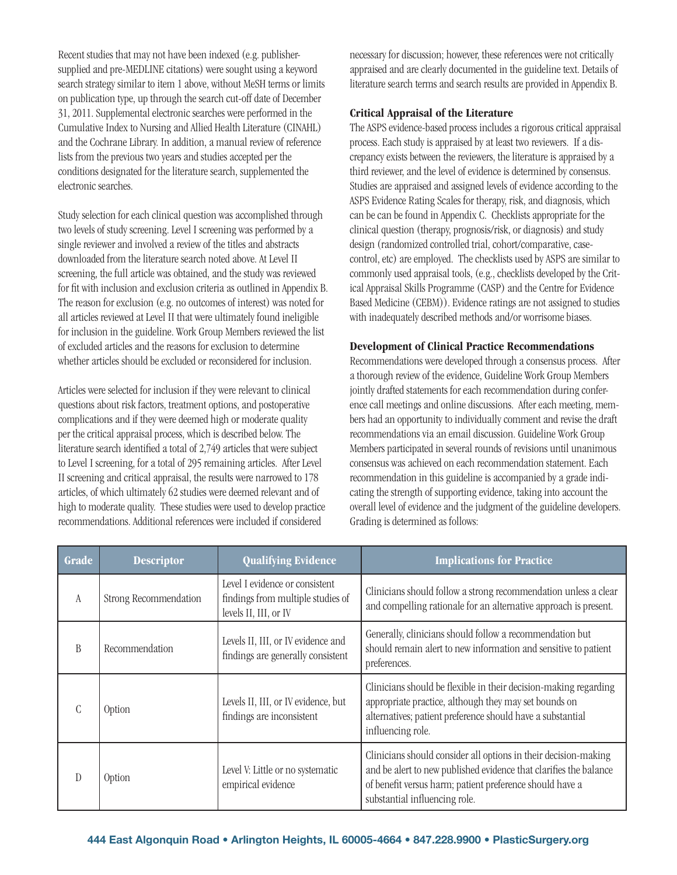Recent studies that may not have been indexed (e.g. publishersupplied and pre-MEDLINE citations) were sought using a keyword search strategy similar to item 1 above, without MeSH terms or limits on publication type, up through the search cut-off date of December 31, 2011. Supplemental electronic searches were performed in the Cumulative Index to Nursing and Allied Health Literature (CINAHL) and the Cochrane Library. In addition, a manual review of reference lists from the previous two years and studies accepted per the conditions designated for the literature search, supplemented the electronic searches.

Study selection for each clinical question was accomplished through two levels of study screening. Level I screening was performed by a single reviewer and involved a review of the titles and abstracts downloaded from the literature search noted above. At Level II screening, the full article was obtained, and the study was reviewed for fit with inclusion and exclusion criteria as outlined in Appendix B. The reason for exclusion (e.g. no outcomes of interest) was noted for all articles reviewed at Level II that were ultimately found ineligible for inclusion in the guideline. Work Group Members reviewed the list of excluded articles and the reasons for exclusion to determine whether articles should be excluded or reconsidered for inclusion.

Articles were selected for inclusion if they were relevant to clinical questions about risk factors, treatment options, and postoperative complications and if they were deemed high or moderate quality per the critical appraisal process, which is described below. The literature search identified a total of 2,749 articles that were subject to Level I screening, for a total of 295 remaining articles. After Level II screening and critical appraisal, the results were narrowed to 178 articles, of which ultimately 62 studies were deemed relevant and of high to moderate quality. These studies were used to develop practice recommendations. Additional references were included if considered

necessary for discussion; however, these references were not critically appraised and are clearly documented in the guideline text. Details of literature search terms and search results are provided in Appendix B.

## **Critical Appraisal of the Literature**

The ASPS evidence-based process includes a rigorous critical appraisal process. Each study is appraised by at least two reviewers. If a discrepancy exists between the reviewers, the literature is appraised by a third reviewer, and the level of evidence is determined by consensus. Studies are appraised and assigned levels of evidence according to the ASPS Evidence Rating Scales for therapy, risk, and diagnosis, which can be can be found in Appendix C. Checklists appropriate for the clinical question (therapy, prognosis/risk, or diagnosis) and study design (randomized controlled trial, cohort/comparative, casecontrol, etc) are employed. The checklists used by ASPS are similar to commonly used appraisal tools, (e.g., checklists developed by the Critical Appraisal Skills Programme (CASP) and the Centre for Evidence Based Medicine (CEBM)). Evidence ratings are not assigned to studies with inadequately described methods and/or worrisome biases.

## **Development of Clinical Practice Recommendations**

Recommendations were developed through a consensus process. After a thorough review of the evidence, Guideline Work Group Members jointly drafted statements for each recommendation during conference call meetings and online discussions. After each meeting, members had an opportunity to individually comment and revise the draft recommendations via an email discussion. Guideline Work Group Members participated in several rounds of revisions until unanimous consensus was achieved on each recommendation statement. Each recommendation in this guideline is accompanied by a grade indicating the strength of supporting evidence, taking into account the overall level of evidence and the judgment of the guideline developers. Grading is determined as follows:

| <b>Grade</b>  | <b>Descriptor</b>            | <b>Qualifying Evidence</b>                                                                   | <b>Implications for Practice</b>                                                                                                                                                                                                  |
|---------------|------------------------------|----------------------------------------------------------------------------------------------|-----------------------------------------------------------------------------------------------------------------------------------------------------------------------------------------------------------------------------------|
| A             | <b>Strong Recommendation</b> | Level I evidence or consistent<br>findings from multiple studies of<br>levels II, III, or IV | Clinicians should follow a strong recommendation unless a clear<br>and compelling rationale for an alternative approach is present.                                                                                               |
| B             | Recommendation               | Levels II, III, or IV evidence and<br>findings are generally consistent                      | Generally, clinicians should follow a recommendation but<br>should remain alert to new information and sensitive to patient<br>preferences.                                                                                       |
| $\mathcal{C}$ | Option                       | Levels II, III, or IV evidence, but<br>findings are inconsistent                             | Clinicians should be flexible in their decision-making regarding<br>appropriate practice, although they may set bounds on<br>alternatives; patient preference should have a substantial<br>influencing role.                      |
| $\mathbb{D}$  | Option                       | Level V: Little or no systematic<br>empirical evidence                                       | Clinicians should consider all options in their decision-making<br>and be alert to new published evidence that clarifies the balance<br>of benefit versus harm; patient preference should have a<br>substantial influencing role. |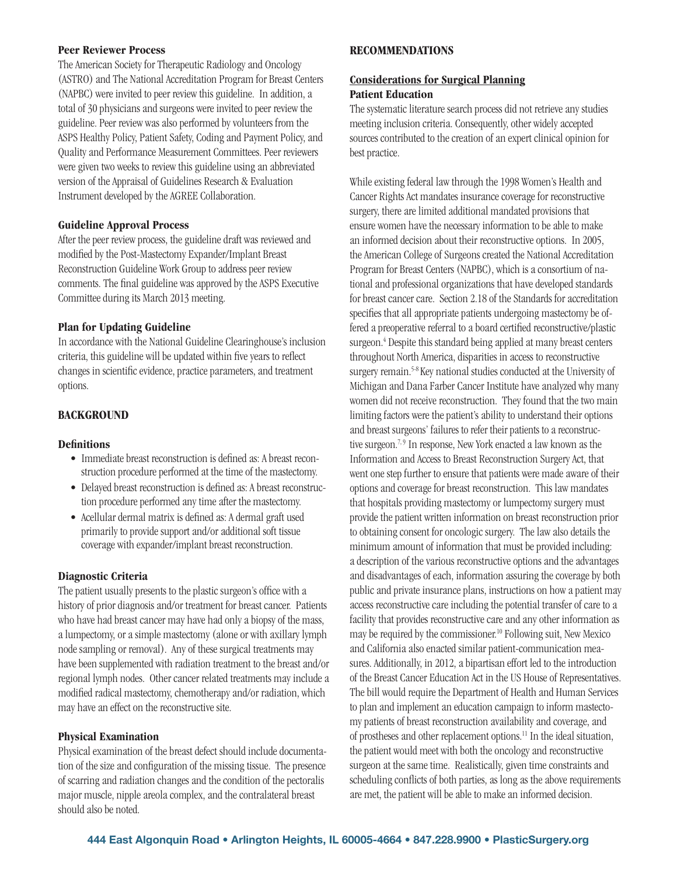#### **Peer Reviewer Process**

The American Society for Therapeutic Radiology and Oncology (ASTRO) and The National Accreditation Program for Breast Centers (NAPBC) were invited to peer review this guideline. In addition, a total of 30 physicians and surgeons were invited to peer review the guideline. Peer review was also performed by volunteers from the ASPS Healthy Policy, Patient Safety, Coding and Payment Policy, and Quality and Performance Measurement Committees. Peer reviewers were given two weeks to review this guideline using an abbreviated version of the Appraisal of Guidelines Research & Evaluation Instrument developed by the AGREE Collaboration.

## **Guideline Approval Process**

After the peer review process, the guideline draft was reviewed and modified by the Post-Mastectomy Expander/Implant Breast Reconstruction Guideline Work Group to address peer review comments. The final guideline was approved by the ASPS Executive Committee during its March 2013 meeting.

#### **Plan for Updating Guideline**

In accordance with the National Guideline Clearinghouse's inclusion criteria, this guideline will be updated within five years to reflect changes in scientific evidence, practice parameters, and treatment options.

## **BACKGROUND**

## **Definitions**

- Immediate breast reconstruction is defined as: A breast reconstruction procedure performed at the time of the mastectomy.
- Delayed breast reconstruction is defined as: A breast reconstruction procedure performed any time after the mastectomy.
- Acellular dermal matrix is defined as: A dermal graft used primarily to provide support and/or additional soft tissue coverage with expander/implant breast reconstruction.

#### **Diagnostic Criteria**

The patient usually presents to the plastic surgeon's office with a history of prior diagnosis and/or treatment for breast cancer. Patients who have had breast cancer may have had only a biopsy of the mass, a lumpectomy, or a simple mastectomy (alone or with axillary lymph node sampling or removal). Any of these surgical treatments may have been supplemented with radiation treatment to the breast and/or regional lymph nodes. Other cancer related treatments may include a modified radical mastectomy, chemotherapy and/or radiation, which may have an effect on the reconstructive site.

#### **Physical Examination**

Physical examination of the breast defect should include documentation of the size and configuration of the missing tissue. The presence of scarring and radiation changes and the condition of the pectoralis major muscle, nipple areola complex, and the contralateral breast should also be noted.

#### **RECOMMENDATIONS**

## **Considerations for Surgical Planning Patient Education**

The systematic literature search process did not retrieve any studies meeting inclusion criteria. Consequently, other widely accepted sources contributed to the creation of an expert clinical opinion for best practice.

While existing federal law through the 1998 Women's Health and Cancer Rights Act mandates insurance coverage for reconstructive surgery, there are limited additional mandated provisions that ensure women have the necessary information to be able to make an informed decision about their reconstructive options. In 2005, the American College of Surgeons created the National Accreditation Program for Breast Centers (NAPBC), which is a consortium of national and professional organizations that have developed standards for breast cancer care. Section 2.18 of the Standards for accreditation specifies that all appropriate patients undergoing mastectomy be offered a preoperative referral to a board certified reconstructive/plastic surgeon.<sup>4</sup> Despite this standard being applied at many breast centers throughout North America, disparities in access to reconstructive surgery remain.<sup>5-8</sup> Key national studies conducted at the University of Michigan and Dana Farber Cancer Institute have analyzed why many women did not receive reconstruction. They found that the two main limiting factors were the patient's ability to understand their options and breast surgeons' failures to refer their patients to a reconstructive surgeon.7, 9 In response, New York enacted a law known as the Information and Access to Breast Reconstruction Surgery Act, that went one step further to ensure that patients were made aware of their options and coverage for breast reconstruction. This law mandates that hospitals providing mastectomy or lumpectomy surgery must provide the patient written information on breast reconstruction prior to obtaining consent for oncologic surgery. The law also details the minimum amount of information that must be provided including: a description of the various reconstructive options and the advantages and disadvantages of each, information assuring the coverage by both public and private insurance plans, instructions on how a patient may access reconstructive care including the potential transfer of care to a facility that provides reconstructive care and any other information as may be required by the commissioner.<sup>10</sup> Following suit, New Mexico and California also enacted similar patient-communication measures. Additionally, in 2012, a bipartisan effort led to the introduction of the Breast Cancer Education Act in the US House of Representatives. The bill would require the Department of Health and Human Services to plan and implement an education campaign to inform mastectomy patients of breast reconstruction availability and coverage, and of prostheses and other replacement options.11 In the ideal situation, the patient would meet with both the oncology and reconstructive surgeon at the same time. Realistically, given time constraints and scheduling conflicts of both parties, as long as the above requirements are met, the patient will be able to make an informed decision.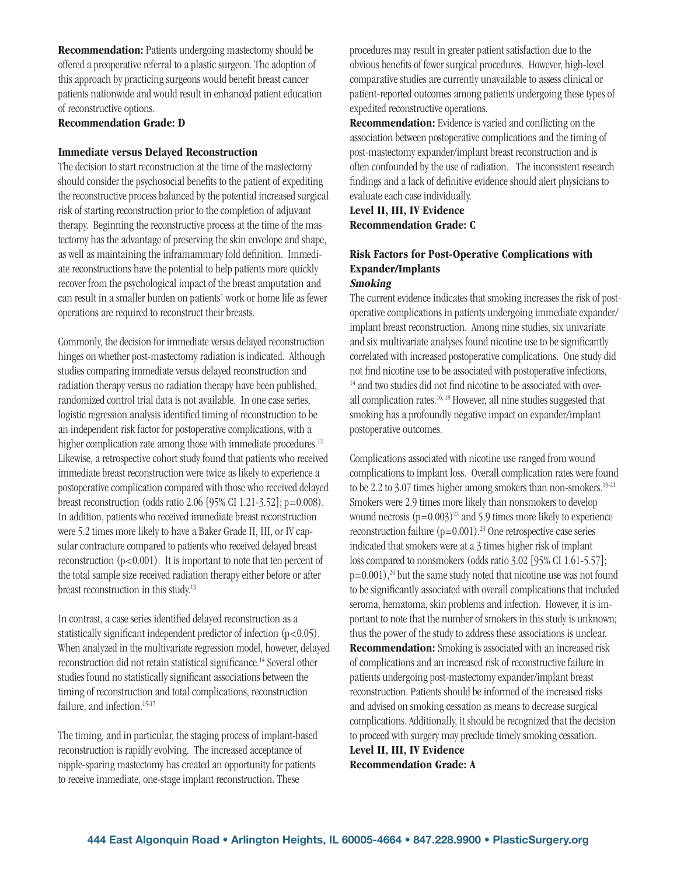**Recommendation:** Patients undergoing mastectomy should be offered a preoperative referral to a plastic surgeon. The adoption of this approach by practicing surgeons would benefit breast cancer patients nationwide and would result in enhanced patient education of reconstructive options.

**Recommendation Grade: D** 

## **Immediate versus Delayed Reconstruction**

The decision to start reconstruction at the time of the mastectomy should consider the psychosocial benefits to the patient of expediting the reconstructive process balanced by the potential increased surgical risk of starting reconstruction prior to the completion of adjuvant therapy. Beginning the reconstructive process at the time of the mastectomy has the advantage of preserving the skin envelope and shape, as well as maintaining the inframammary fold definition. Immediate reconstructions have the potential to help patients more quickly recover from the psychological impact of the breast amputation and can result in a smaller burden on patients' work or home life as fewer operations are required to reconstruct their breasts.

Commonly, the decision for immediate versus delayed reconstruction hinges on whether post-mastectomy radiation is indicated. Although studies comparing immediate versus delayed reconstruction and radiation therapy versus no radiation therapy have been published, randomized control trial data is not available. In one case series, logistic regression analysis identified timing of reconstruction to be an independent risk factor for postoperative complications, with a higher complication rate among those with immediate procedures.<sup>12</sup> Likewise, a retrospective cohort study found that patients who received immediate breast reconstruction were twice as likely to experience a postoperative complication compared with those who received delayed breast reconstruction (odds ratio 2.06 [95% CI 1.21-3.52]; p=0.008). In addition, patients who received immediate breast reconstruction were 5.2 times more likely to have a Baker Grade II, III, or IV capsular contracture compared to patients who received delayed breast reconstruction  $(p<0.001)$ . It is important to note that ten percent of the total sample size received radiation therapy either before or after breast reconstruction in this study.13

In contrast, a case series identified delayed reconstruction as a statistically significant independent predictor of infection  $(p<0.05)$ . When analyzed in the multivariate regression model, however, delayed reconstruction did not retain statistical significance.14 Several other studies found no statistically significant associations between the timing of reconstruction and total complications, reconstruction failure, and infection.<sup>15-17</sup>

The timing, and in particular, the staging process of implant-based reconstruction is rapidly evolving. The increased acceptance of nipple-sparing mastectomy has created an opportunity for patients to receive immediate, one-stage implant reconstruction. These

procedures may result in greater patient satisfaction due to the obvious benefits of fewer surgical procedures. However, high-level comparative studies are currently unavailable to assess clinical or patient-reported outcomes among patients undergoing these types of expedited reconstructive operations.

**Recommendation:** Evidence is varied and conflicting on the association between postoperative complications and the timing of post-mastectomy expander/implant breast reconstruction and is often confounded by the use of radiation. The inconsistent research findings and a lack of definitive evidence should alert physicians to evaluate each case individually.

**Level II, III, IV Evidence Recommendation Grade: C**

## **Risk Factors for Post-Operative Complications with Expander/Implants Smoking**

The current evidence indicates that smoking increases the risk of postoperative complications in patients undergoing immediate expander/ implant breast reconstruction. Among nine studies, six univariate and six multivariate analyses found nicotine use to be significantly correlated with increased postoperative complications. One study did not find nicotine use to be associated with postoperative infections, <sup>14</sup> and two studies did not find nicotine to be associated with overall complication rates.16, 18 However, all nine studies suggested that smoking has a profoundly negative impact on expander/implant postoperative outcomes.

Complications associated with nicotine use ranged from wound complications to implant loss. Overall complication rates were found to be 2.2 to 3.07 times higher among smokers than non-smokers.<sup>19-21</sup> Smokers were 2.9 times more likely than nonsmokers to develop wound necrosis  $(p=0.003)^{22}$  and 5.9 times more likely to experience reconstruction failure  $(p=0.001)$ .<sup>23</sup> One retrospective case series indicated that smokers were at a 3 times higher risk of implant loss compared to nonsmokers (odds ratio 3.02 [95% CI 1.61-5.57];  $p=0.001$ ,<sup>24</sup> but the same study noted that nicotine use was not found to be significantly associated with overall complications that included seroma, hematoma, skin problems and infection. However, it is important to note that the number of smokers in this study is unknown; thus the power of the study to address these associations is unclear. **Recommendation:** Smoking is associated with an increased risk of complications and an increased risk of reconstructive failure in patients undergoing post-mastectomy expander/implant breast reconstruction. Patients should be informed of the increased risks and advised on smoking cessation as means to decrease surgical

complications. Additionally, it should be recognized that the decision to proceed with surgery may preclude timely smoking cessation.

**Level II, III, IV Evidence Recommendation Grade: A**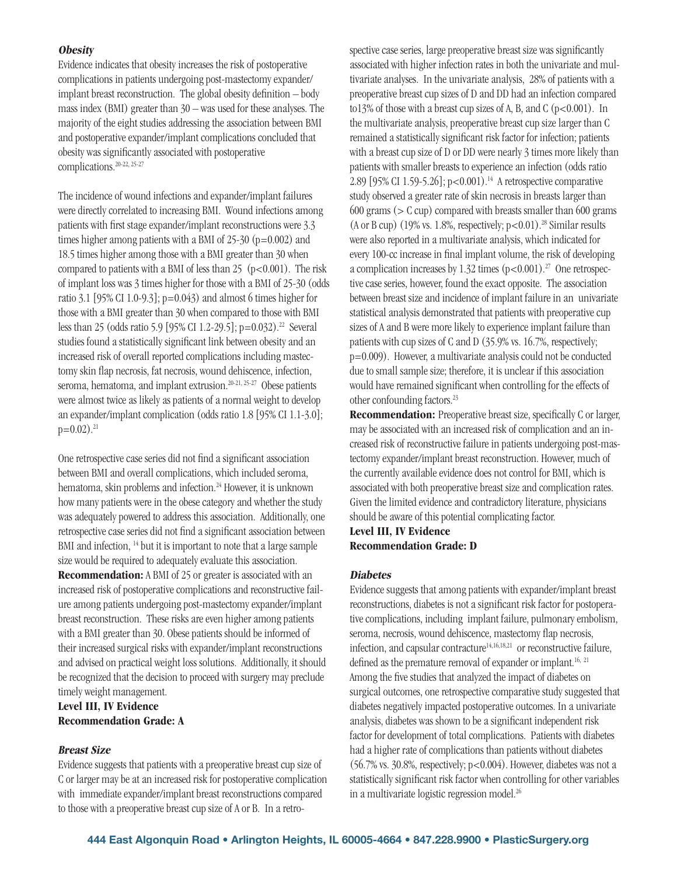## **Obesity**

Evidence indicates that obesity increases the risk of postoperative complications in patients undergoing post-mastectomy expander/ implant breast reconstruction. The global obesity definition – body mass index (BMI) greater than 30 – was used for these analyses. The majority of the eight studies addressing the association between BMI and postoperative expander/implant complications concluded that obesity was significantly associated with postoperative complications.20-22, 25-27

The incidence of wound infections and expander/implant failures were directly correlated to increasing BMI. Wound infections among patients with first stage expander/implant reconstructions were 3.3 times higher among patients with a BMI of  $25-30$  ( $p=0.002$ ) and 18.5 times higher among those with a BMI greater than 30 when compared to patients with a BMI of less than 25 ( $p < 0.001$ ). The risk of implant loss was 3 times higher for those with a BMI of 25-30 (odds ratio 3.1 [95% CI 1.0-9.3]; p=0.043) and almost 6 times higher for those with a BMI greater than 30 when compared to those with BMI less than 25 (odds ratio 5.9 [95% CI 1.2-29.5]; p=0.032).<sup>22</sup> Several studies found a statistically significant link between obesity and an increased risk of overall reported complications including mastectomy skin flap necrosis, fat necrosis, wound dehiscence, infection, seroma, hematoma, and implant extrusion.<sup>20-21, 25-27</sup> Obese patients were almost twice as likely as patients of a normal weight to develop an expander/implant complication (odds ratio 1.8 [95% CI 1.1-3.0];  $p=0.02$ ).<sup>21</sup>

One retrospective case series did not find a significant association between BMI and overall complications, which included seroma, hematoma, skin problems and infection.<sup>24</sup> However, it is unknown how many patients were in the obese category and whether the study was adequately powered to address this association. Additionally, one retrospective case series did not find a significant association between BMI and infection,  $14$  but it is important to note that a large sample size would be required to adequately evaluate this association. **Recommendation:** A BMI of 25 or greater is associated with an increased risk of postoperative complications and reconstructive failure among patients undergoing post-mastectomy expander/implant breast reconstruction. These risks are even higher among patients with a BMI greater than 30. Obese patients should be informed of their increased surgical risks with expander/implant reconstructions and advised on practical weight loss solutions. Additionally, it should be recognized that the decision to proceed with surgery may preclude timely weight management.

# **Level III, IV Evidence Recommendation Grade: A**

#### **Breast Size**

Evidence suggests that patients with a preoperative breast cup size of C or larger may be at an increased risk for postoperative complication with immediate expander/implant breast reconstructions compared to those with a preoperative breast cup size of A or B. In a retrospective case series, large preoperative breast size was significantly associated with higher infection rates in both the univariate and multivariate analyses. In the univariate analysis, 28% of patients with a preoperative breast cup sizes of D and DD had an infection compared to13% of those with a breast cup sizes of A, B, and C ( $p < 0.001$ ). In the multivariate analysis, preoperative breast cup size larger than C remained a statistically significant risk factor for infection; patients with a breast cup size of D or DD were nearly 3 times more likely than patients with smaller breasts to experience an infection (odds ratio 2.89 [95% CI 1.59-5.26]; p<0.001).<sup>14</sup> A retrospective comparative study observed a greater rate of skin necrosis in breasts larger than 600 grams (> C cup) compared with breasts smaller than 600 grams (A or B cup) (19% vs. 1.8%, respectively;  $p < 0.01$ ).<sup>28</sup> Similar results were also reported in a multivariate analysis, which indicated for every 100-cc increase in final implant volume, the risk of developing a complication increases by 1.32 times  $(p<0.001)$ .<sup>27</sup> One retrospective case series, however, found the exact opposite. The association between breast size and incidence of implant failure in an univariate statistical analysis demonstrated that patients with preoperative cup sizes of A and B were more likely to experience implant failure than patients with cup sizes of C and D (35.9% vs. 16.7%, respectively; p=0.009). However, a multivariate analysis could not be conducted due to small sample size; therefore, it is unclear if this association would have remained significant when controlling for the effects of other confounding factors.23

**Recommendation:** Preoperative breast size, specifically C or larger, may be associated with an increased risk of complication and an increased risk of reconstructive failure in patients undergoing post-mastectomy expander/implant breast reconstruction. However, much of the currently available evidence does not control for BMI, which is associated with both preoperative breast size and complication rates. Given the limited evidence and contradictory literature, physicians should be aware of this potential complicating factor.

# **Level III, IV Evidence Recommendation Grade: D**

#### **Diabetes**

Evidence suggests that among patients with expander/implant breast reconstructions, diabetes is not a significant risk factor for postoperative complications, including implant failure, pulmonary embolism, seroma, necrosis, wound dehiscence, mastectomy flap necrosis, infection, and capsular contracture<sup>14,16,18,21</sup> or reconstructive failure, defined as the premature removal of expander or implant.<sup>16, 21</sup> Among the five studies that analyzed the impact of diabetes on surgical outcomes, one retrospective comparative study suggested that diabetes negatively impacted postoperative outcomes. In a univariate analysis, diabetes was shown to be a significant independent risk factor for development of total complications. Patients with diabetes had a higher rate of complications than patients without diabetes (56.7% vs. 30.8%, respectively; p<0.004). However, diabetes was not a statistically significant risk factor when controlling for other variables in a multivariate logistic regression model.<sup>26</sup>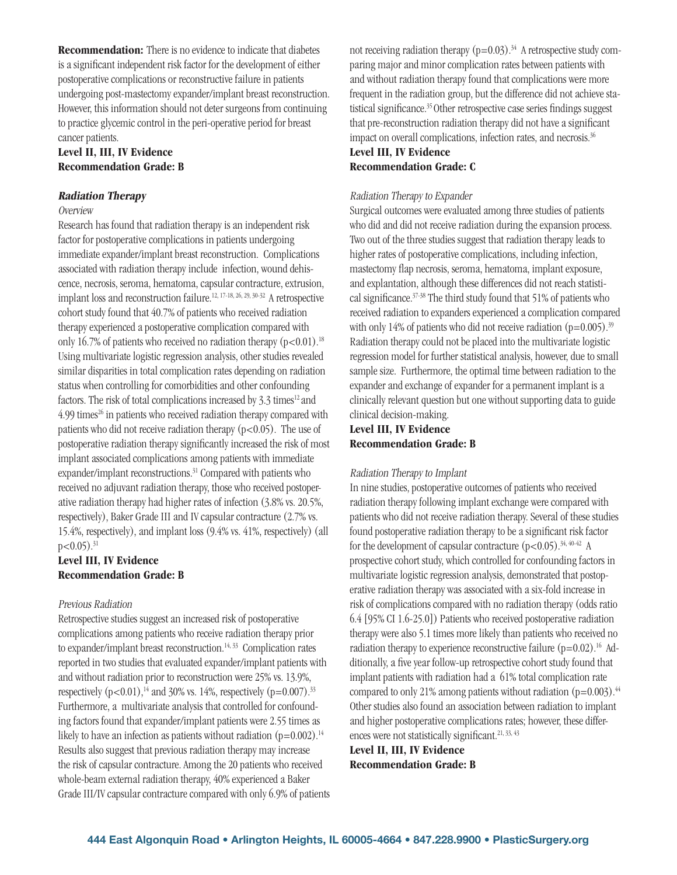**Recommendation:** There is no evidence to indicate that diabetes is a significant independent risk factor for the development of either postoperative complications or reconstructive failure in patients undergoing post-mastectomy expander/implant breast reconstruction. However, this information should not deter surgeons from continuing to practice glycemic control in the peri-operative period for breast cancer patients.

# **Level II, III, IV Evidence Recommendation Grade: B**

#### **Radiation Therapy**

#### Overview

Research has found that radiation therapy is an independent risk factor for postoperative complications in patients undergoing immediate expander/implant breast reconstruction. Complications associated with radiation therapy include infection, wound dehiscence, necrosis, seroma, hematoma, capsular contracture, extrusion, implant loss and reconstruction failure.12, 17-18, 26, 29, 30-32 A retrospective cohort study found that 40.7% of patients who received radiation therapy experienced a postoperative complication compared with only 16.7% of patients who received no radiation therapy  $(p<0.01)$ .<sup>18</sup> Using multivariate logistic regression analysis, other studies revealed similar disparities in total complication rates depending on radiation status when controlling for comorbidities and other confounding factors. The risk of total complications increased by 3.3 times<sup>12</sup> and  $4.99$  times<sup>26</sup> in patients who received radiation therapy compared with patients who did not receive radiation therapy  $(p<0.05)$ . The use of postoperative radiation therapy significantly increased the risk of most implant associated complications among patients with immediate expander/implant reconstructions.<sup>31</sup> Compared with patients who received no adjuvant radiation therapy, those who received postoperative radiation therapy had higher rates of infection (3.8% vs. 20.5%, respectively), Baker Grade III and IV capsular contracture (2.7% vs. 15.4%, respectively), and implant loss (9.4% vs. 41%, respectively) (all  $p<0.05$ ).<sup>31</sup>

## **Level III, IV Evidence Recommendation Grade: B**

#### Previous Radiation

Retrospective studies suggest an increased risk of postoperative complications among patients who receive radiation therapy prior to expander/implant breast reconstruction.<sup>14, 33</sup> Complication rates reported in two studies that evaluated expander/implant patients with and without radiation prior to reconstruction were 25% vs. 13.9%, respectively  $(p<0.01)$ ,<sup>14</sup> and 30% vs. 14%, respectively  $(p=0.007)$ .<sup>33</sup> Furthermore, a multivariate analysis that controlled for confounding factors found that expander/implant patients were 2.55 times as likely to have an infection as patients without radiation  $(p=0.002)$ .<sup>14</sup> Results also suggest that previous radiation therapy may increase the risk of capsular contracture. Among the 20 patients who received whole-beam external radiation therapy, 40% experienced a Baker Grade III/IV capsular contracture compared with only 6.9% of patients not receiving radiation therapy  $(p=0.03)$ .<sup>34</sup> A retrospective study comparing major and minor complication rates between patients with and without radiation therapy found that complications were more frequent in the radiation group, but the difference did not achieve statistical significance.<sup>35</sup> Other retrospective case series findings suggest that pre-reconstruction radiation therapy did not have a significant impact on overall complications, infection rates, and necrosis.<sup>36</sup>

# **Level III, IV Evidence Recommendation Grade: C**

## Radiation Therapy to Expander

Surgical outcomes were evaluated among three studies of patients who did and did not receive radiation during the expansion process. Two out of the three studies suggest that radiation therapy leads to higher rates of postoperative complications, including infection, mastectomy flap necrosis, seroma, hematoma, implant exposure, and explantation, although these differences did not reach statistical significance.37-38 The third study found that 51% of patients who received radiation to expanders experienced a complication compared with only 14% of patients who did not receive radiation ( $p=0.005$ ).<sup>39</sup> Radiation therapy could not be placed into the multivariate logistic regression model for further statistical analysis, however, due to small sample size. Furthermore, the optimal time between radiation to the expander and exchange of expander for a permanent implant is a clinically relevant question but one without supporting data to guide clinical decision-making.

# **Level III, IV Evidence Recommendation Grade: B**

## Radiation Therapy to Implant

In nine studies, postoperative outcomes of patients who received radiation therapy following implant exchange were compared with patients who did not receive radiation therapy. Several of these studies found postoperative radiation therapy to be a significant risk factor for the development of capsular contracture  $(p<0.05)$ .<sup>34, 40-42</sup> A prospective cohort study, which controlled for confounding factors in multivariate logistic regression analysis, demonstrated that postoperative radiation therapy was associated with a six-fold increase in risk of complications compared with no radiation therapy (odds ratio 6.4 [95% CI 1.6-25.0]) Patients who received postoperative radiation therapy were also 5.1 times more likely than patients who received no radiation therapy to experience reconstructive failure  $(p=0.02)$ .<sup>16</sup> Additionally, a five year follow-up retrospective cohort study found that implant patients with radiation had a 61% total complication rate compared to only 21% among patients without radiation  $(p=0.003)$ .<sup>44</sup> Other studies also found an association between radiation to implant and higher postoperative complications rates; however, these differences were not statistically significant.<sup>21, 33, 43</sup>

**Level II, III, IV Evidence Recommendation Grade: B**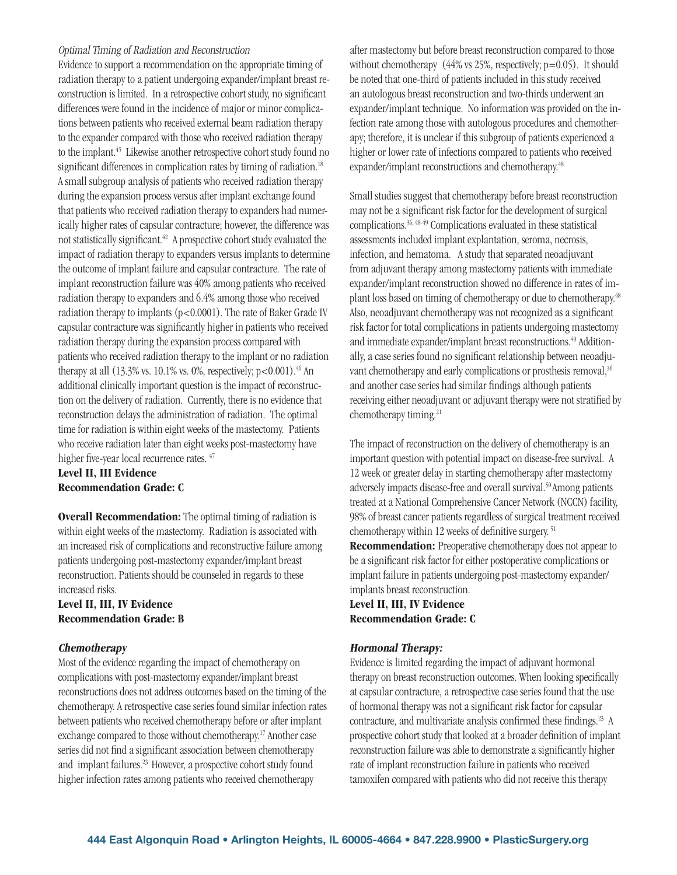#### Optimal Timing of Radiation and Reconstruction

Evidence to support a recommendation on the appropriate timing of radiation therapy to a patient undergoing expander/implant breast reconstruction is limited. In a retrospective cohort study, no significant differences were found in the incidence of major or minor complications between patients who received external beam radiation therapy to the expander compared with those who received radiation therapy to the implant.<sup>45</sup> Likewise another retrospective cohort study found no significant differences in complication rates by timing of radiation.<sup>18</sup> A small subgroup analysis of patients who received radiation therapy during the expansion process versus after implant exchange found that patients who received radiation therapy to expanders had numerically higher rates of capsular contracture; however, the difference was not statistically significant.<sup>42</sup> A prospective cohort study evaluated the impact of radiation therapy to expanders versus implants to determine the outcome of implant failure and capsular contracture. The rate of implant reconstruction failure was 40% among patients who received radiation therapy to expanders and 6.4% among those who received radiation therapy to implants  $(p<0.0001)$ . The rate of Baker Grade IV capsular contracture was significantly higher in patients who received radiation therapy during the expansion process compared with patients who received radiation therapy to the implant or no radiation therapy at all  $(13.3\% \text{ vs. } 10.1\% \text{ vs. } 0\%, \text{ respectively}; \text{ p} < 0.001).$ <sup>46</sup> An additional clinically important question is the impact of reconstruction on the delivery of radiation. Currently, there is no evidence that reconstruction delays the administration of radiation. The optimal time for radiation is within eight weeks of the mastectomy. Patients who receive radiation later than eight weeks post-mastectomy have higher five-year local recurrence rates.  $47$ 

**Level II, III Evidence Recommendation Grade: C**

**Overall Recommendation:** The optimal timing of radiation is within eight weeks of the mastectomy. Radiation is associated with an increased risk of complications and reconstructive failure among patients undergoing post-mastectomy expander/implant breast reconstruction. Patients should be counseled in regards to these increased risks.

## **Level II, III, IV Evidence Recommendation Grade: B**

#### **Chemotherapy**

Most of the evidence regarding the impact of chemotherapy on complications with post-mastectomy expander/implant breast reconstructions does not address outcomes based on the timing of the chemotherapy. A retrospective case series found similar infection rates between patients who received chemotherapy before or after implant exchange compared to those without chemotherapy.17 Another case series did not find a significant association between chemotherapy and implant failures.<sup>23</sup> However, a prospective cohort study found higher infection rates among patients who received chemotherapy

after mastectomy but before breast reconstruction compared to those without chemotherapy  $(44\% \text{ vs } 25\%, \text{ respectively}; \text{p=0.05}).$  It should be noted that one-third of patients included in this study received an autologous breast reconstruction and two-thirds underwent an expander/implant technique. No information was provided on the infection rate among those with autologous procedures and chemotherapy; therefore, it is unclear if this subgroup of patients experienced a higher or lower rate of infections compared to patients who received expander/implant reconstructions and chemotherapy.<sup>48</sup>

Small studies suggest that chemotherapy before breast reconstruction may not be a significant risk factor for the development of surgical complications.36, 48-49 Complications evaluated in these statistical assessments included implant explantation, seroma, necrosis, infection, and hematoma. A study that separated neoadjuvant from adjuvant therapy among mastectomy patients with immediate expander/implant reconstruction showed no difference in rates of implant loss based on timing of chemotherapy or due to chemotherapy.<sup>48</sup> Also, neoadjuvant chemotherapy was not recognized as a significant risk factor for total complications in patients undergoing mastectomy and immediate expander/implant breast reconstructions.<sup>49</sup> Additionally, a case series found no significant relationship between neoadjuvant chemotherapy and early complications or prosthesis removal, 36 and another case series had similar findings although patients receiving either neoadjuvant or adjuvant therapy were not stratified by chemotherapy timing.<sup>21</sup>

The impact of reconstruction on the delivery of chemotherapy is an important question with potential impact on disease-free survival. A 12 week or greater delay in starting chemotherapy after mastectomy adversely impacts disease-free and overall survival.<sup>50</sup> Among patients treated at a National Comprehensive Cancer Network (NCCN) facility, 98% of breast cancer patients regardless of surgical treatment received chemotherapy within 12 weeks of definitive surgery. 51

**Recommendation:** Preoperative chemotherapy does not appear to be a significant risk factor for either postoperative complications or implant failure in patients undergoing post-mastectomy expander/ implants breast reconstruction.

**Level II, III, IV Evidence Recommendation Grade: C**

#### **Hormonal Therapy:**

Evidence is limited regarding the impact of adjuvant hormonal therapy on breast reconstruction outcomes. When looking specifically at capsular contracture, a retrospective case series found that the use of hormonal therapy was not a significant risk factor for capsular contracture, and multivariate analysis confirmed these findings.<sup>23</sup> A prospective cohort study that looked at a broader definition of implant reconstruction failure was able to demonstrate a significantly higher rate of implant reconstruction failure in patients who received tamoxifen compared with patients who did not receive this therapy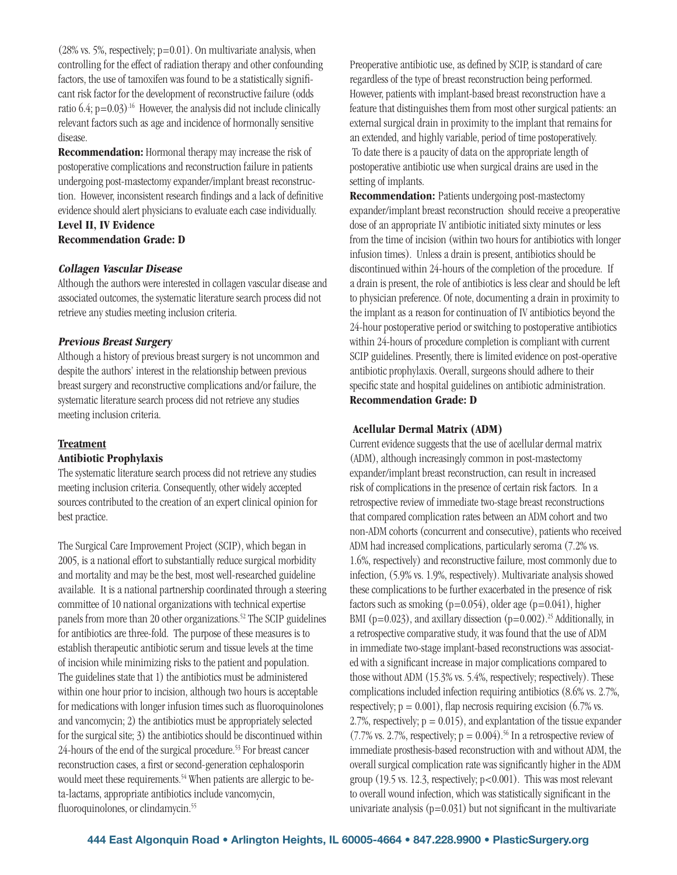$(28\%$  vs. 5%, respectively;  $p=0.01$ ). On multivariate analysis, when controlling for the effect of radiation therapy and other confounding factors, the use of tamoxifen was found to be a statistically significant risk factor for the development of reconstructive failure (odds ratio  $6.4$ ;  $p=0.03$ )<sup>16</sup> However, the analysis did not include clinically relevant factors such as age and incidence of hormonally sensitive disease.

**Recommendation:** Hormonal therapy may increase the risk of postoperative complications and reconstruction failure in patients undergoing post-mastectomy expander/implant breast reconstruction. However, inconsistent research findings and a lack of definitive evidence should alert physicians to evaluate each case individually.

#### **Level II, IV Evidence Recommendation Grade: D**

## **Collagen Vascular Disease**

Although the authors were interested in collagen vascular disease and associated outcomes, the systematic literature search process did not retrieve any studies meeting inclusion criteria.

## **Previous Breast Surgery**

Although a history of previous breast surgery is not uncommon and despite the authors' interest in the relationship between previous breast surgery and reconstructive complications and/or failure, the systematic literature search process did not retrieve any studies meeting inclusion criteria.

## **Treatment**

## **Antibiotic Prophylaxis**

The systematic literature search process did not retrieve any studies meeting inclusion criteria. Consequently, other widely accepted sources contributed to the creation of an expert clinical opinion for best practice.

The Surgical Care Improvement Project (SCIP), which began in 2005, is a national effort to substantially reduce surgical morbidity and mortality and may be the best, most well-researched guideline available. It is a national partnership coordinated through a steering committee of 10 national organizations with technical expertise panels from more than 20 other organizations.52 The SCIP guidelines for antibiotics are three-fold. The purpose of these measures is to establish therapeutic antibiotic serum and tissue levels at the time of incision while minimizing risks to the patient and population. The guidelines state that 1) the antibiotics must be administered within one hour prior to incision, although two hours is acceptable for medications with longer infusion times such as fluoroquinolones and vancomycin; 2) the antibiotics must be appropriately selected for the surgical site; 3) the antibiotics should be discontinued within 24-hours of the end of the surgical procedure.<sup>53</sup> For breast cancer reconstruction cases, a first or second-generation cephalosporin would meet these requirements.<sup>54</sup> When patients are allergic to beta-lactams, appropriate antibiotics include vancomycin, fluoroquinolones, or clindamycin.<sup>55</sup>

Preoperative antibiotic use, as defined by SCIP, is standard of care regardless of the type of breast reconstruction being performed. However, patients with implant-based breast reconstruction have a feature that distinguishes them from most other surgical patients: an external surgical drain in proximity to the implant that remains for an extended, and highly variable, period of time postoperatively. To date there is a paucity of data on the appropriate length of postoperative antibiotic use when surgical drains are used in the setting of implants.

**Recommendation:** Patients undergoing post-mastectomy expander/implant breast reconstruction should receive a preoperative dose of an appropriate IV antibiotic initiated sixty minutes or less from the time of incision (within two hours for antibiotics with longer infusion times). Unless a drain is present, antibiotics should be discontinued within 24-hours of the completion of the procedure. If a drain is present, the role of antibiotics is less clear and should be left to physician preference. Of note, documenting a drain in proximity to the implant as a reason for continuation of IV antibiotics beyond the 24-hour postoperative period or switching to postoperative antibiotics within 24-hours of procedure completion is compliant with current SCIP guidelines. Presently, there is limited evidence on post-operative antibiotic prophylaxis. Overall, surgeons should adhere to their specific state and hospital guidelines on antibiotic administration. **Recommendation Grade: D** 

## **Acellular Dermal Matrix (ADM)**

Current evidence suggests that the use of acellular dermal matrix (ADM), although increasingly common in post-mastectomy expander/implant breast reconstruction, can result in increased risk of complications in the presence of certain risk factors. In a retrospective review of immediate two-stage breast reconstructions that compared complication rates between an ADM cohort and two non-ADM cohorts (concurrent and consecutive), patients who received ADM had increased complications, particularly seroma (7.2% vs. 1.6%, respectively) and reconstructive failure, most commonly due to infection, (5.9% vs. 1.9%, respectively). Multivariate analysis showed these complications to be further exacerbated in the presence of risk factors such as smoking (p=0.054), older age (p=0.041), higher BMI ( $p=0.023$ ), and axillary dissection ( $p=0.002$ ).<sup>25</sup> Additionally, in a retrospective comparative study, it was found that the use of ADM in immediate two-stage implant-based reconstructions was associated with a significant increase in major complications compared to those without ADM (15.3% vs. 5.4%, respectively; respectively). These complications included infection requiring antibiotics (8.6% vs. 2.7%, respectively;  $p = 0.001$ ), flap necrosis requiring excision (6.7% vs. 2.7%, respectively;  $p = 0.015$ ), and explantation of the tissue expander (7.7% vs. 2.7%, respectively;  $p = 0.004$ ).<sup>56</sup> In a retrospective review of immediate prosthesis-based reconstruction with and without ADM, the overall surgical complication rate was significantly higher in the ADM group (19.5 vs. 12.3, respectively;  $p < 0.001$ ). This was most relevant to overall wound infection, which was statistically significant in the univariate analysis  $(p=0.031)$  but not significant in the multivariate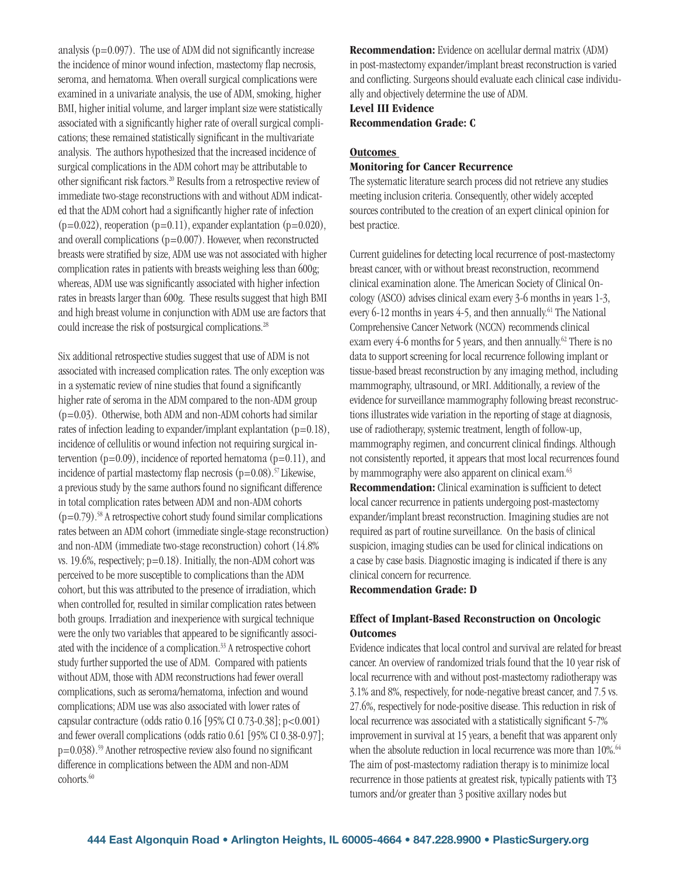analysis  $(p=0.097)$ . The use of ADM did not significantly increase the incidence of minor wound infection, mastectomy flap necrosis, seroma, and hematoma. When overall surgical complications were examined in a univariate analysis, the use of ADM, smoking, higher BMI, higher initial volume, and larger implant size were statistically associated with a significantly higher rate of overall surgical complications; these remained statistically significant in the multivariate analysis. The authors hypothesized that the increased incidence of surgical complications in the ADM cohort may be attributable to other significant risk factors.20 Results from a retrospective review of immediate two-stage reconstructions with and without ADM indicated that the ADM cohort had a significantly higher rate of infection  $(p=0.022)$ , reoperation  $(p=0.11)$ , expander explantation  $(p=0.020)$ , and overall complications  $(p=0.007)$ . However, when reconstructed breasts were stratified by size, ADM use was not associated with higher complication rates in patients with breasts weighing less than 600g; whereas, ADM use was significantly associated with higher infection rates in breasts larger than 600g. These results suggest that high BMI and high breast volume in conjunction with ADM use are factors that could increase the risk of postsurgical complications.<sup>28</sup>

Six additional retrospective studies suggest that use of ADM is not associated with increased complication rates. The only exception was in a systematic review of nine studies that found a significantly higher rate of seroma in the ADM compared to the non-ADM group  $(p=0.03)$ . Otherwise, both ADM and non-ADM cohorts had similar rates of infection leading to expander/implant explantation (p=0.18), incidence of cellulitis or wound infection not requiring surgical intervention  $(p=0.09)$ , incidence of reported hematoma  $(p=0.11)$ , and incidence of partial mastectomy flap necrosis  $(p=0.08)$ .<sup>57</sup> Likewise, a previous study by the same authors found no significant difference in total complication rates between ADM and non-ADM cohorts  $(p=0.79)$ .<sup>58</sup> A retrospective cohort study found similar complications rates between an ADM cohort (immediate single-stage reconstruction) and non-ADM (immediate two-stage reconstruction) cohort (14.8% vs. 19.6%, respectively;  $p=0.18$ ). Initially, the non-ADM cohort was perceived to be more susceptible to complications than the ADM cohort, but this was attributed to the presence of irradiation, which when controlled for, resulted in similar complication rates between both groups. Irradiation and inexperience with surgical technique were the only two variables that appeared to be significantly associated with the incidence of a complication.33 A retrospective cohort study further supported the use of ADM. Compared with patients without ADM, those with ADM reconstructions had fewer overall complications, such as seroma/hematoma, infection and wound complications; ADM use was also associated with lower rates of capsular contracture (odds ratio 0.16 [95% CI 0.73-0.38]; p<0.001) and fewer overall complications (odds ratio 0.61 [95% CI 0.38-0.97]; p=0.038).59 Another retrospective review also found no significant difference in complications between the ADM and non-ADM cohorts.<sup>60</sup>

**Recommendation:** Evidence on acellular dermal matrix (ADM) in post-mastectomy expander/implant breast reconstruction is varied and conflicting. Surgeons should evaluate each clinical case individually and objectively determine the use of ADM.

**Level III Evidence Recommendation Grade: C**

## **Outcomes**

## **Monitoring for Cancer Recurrence**

The systematic literature search process did not retrieve any studies meeting inclusion criteria. Consequently, other widely accepted sources contributed to the creation of an expert clinical opinion for best practice.

Current guidelines for detecting local recurrence of post-mastectomy breast cancer, with or without breast reconstruction, recommend clinical examination alone. The American Society of Clinical Oncology (ASCO) advises clinical exam every 3-6 months in years 1-3, every 6-12 months in years 4-5, and then annually.<sup>61</sup> The National Comprehensive Cancer Network (NCCN) recommends clinical exam every 4-6 months for 5 years, and then annually.<sup>62</sup> There is no data to support screening for local recurrence following implant or tissue-based breast reconstruction by any imaging method, including mammography, ultrasound, or MRI. Additionally, a review of the evidence for surveillance mammography following breast reconstructions illustrates wide variation in the reporting of stage at diagnosis, use of radiotherapy, systemic treatment, length of follow-up, mammography regimen, and concurrent clinical findings. Although not consistently reported, it appears that most local recurrences found by mammography were also apparent on clinical exam.<sup>63</sup> **Recommendation:** Clinical examination is sufficient to detect local cancer recurrence in patients undergoing post-mastectomy expander/implant breast reconstruction. Imagining studies are not required as part of routine surveillance. On the basis of clinical suspicion, imaging studies can be used for clinical indications on a case by case basis. Diagnostic imaging is indicated if there is any clinical concern for recurrence.

**Recommendation Grade: D**

## **Effect of Implant-Based Reconstruction on Oncologic Outcomes**

Evidence indicates that local control and survival are related for breast cancer. An overview of randomized trials found that the 10 year risk of local recurrence with and without post-mastectomy radiotherapy was 3.1% and 8%, respectively, for node-negative breast cancer, and 7.5 vs. 27.6%, respectively for node-positive disease. This reduction in risk of local recurrence was associated with a statistically significant 5-7% improvement in survival at 15 years, a benefit that was apparent only when the absolute reduction in local recurrence was more than 10%.<sup>64</sup> The aim of post-mastectomy radiation therapy is to minimize local recurrence in those patients at greatest risk, typically patients with T3 tumors and/or greater than 3 positive axillary nodes but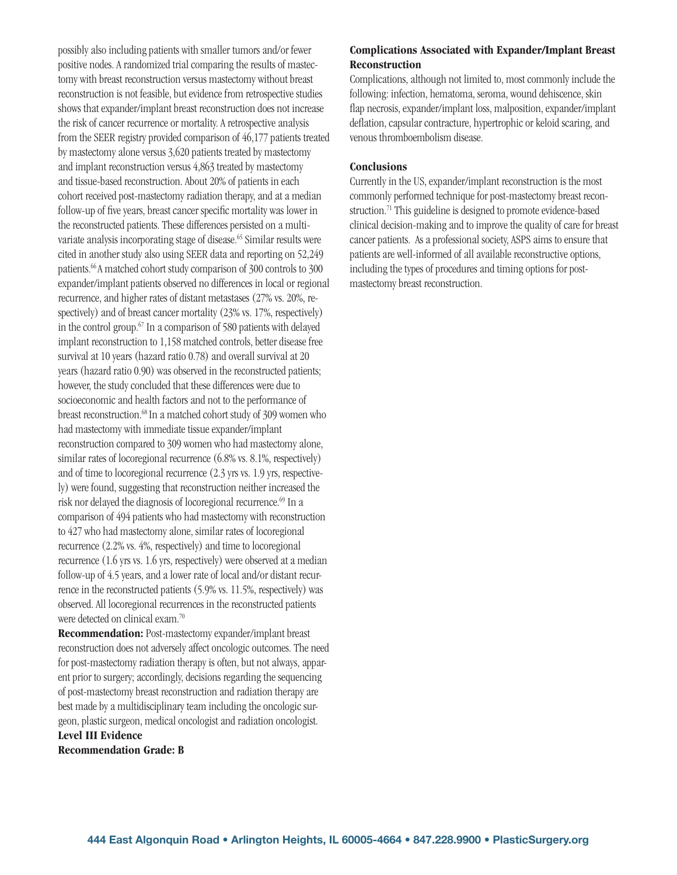tomy with breast reconstruction versus mastectomy without breast reconstruction is not feasible, but evidence from retrospective studies shows that expander/implant breast reconstruction does not increase the risk of cancer recurrence or mortality. A retrospective analysis from the SEER registry provided comparison of 46,177 patients treated by mastectomy alone versus 3,620 patients treated by mastectomy and implant reconstruction versus 4,863 treated by mastectomy and tissue-based reconstruction. About 20% of patients in each cohort received post-mastectomy radiation therapy, and at a median follow-up of five years, breast cancer specific mortality was lower in the reconstructed patients. These differences persisted on a multivariate analysis incorporating stage of disease.<sup>65</sup> Similar results were cited in another study also using SEER data and reporting on 52,249 patients.66 A matched cohort study comparison of 300 controls to 300 expander/implant patients observed no differences in local or regional recurrence, and higher rates of distant metastases (27% vs. 20%, respectively) and of breast cancer mortality (23% vs. 17%, respectively) in the control group.<sup>67</sup> In a comparison of 580 patients with delayed implant reconstruction to 1,158 matched controls, better disease free survival at 10 years (hazard ratio 0.78) and overall survival at 20 years (hazard ratio 0.90) was observed in the reconstructed patients; however, the study concluded that these differences were due to socioeconomic and health factors and not to the performance of breast reconstruction.<sup>68</sup> In a matched cohort study of 309 women who had mastectomy with immediate tissue expander/implant reconstruction compared to 309 women who had mastectomy alone, similar rates of locoregional recurrence (6.8% vs. 8.1%, respectively) and of time to locoregional recurrence (2.3 yrs vs. 1.9 yrs, respectively) were found, suggesting that reconstruction neither increased the risk nor delayed the diagnosis of locoregional recurrence.<sup>69</sup> In a comparison of 494 patients who had mastectomy with reconstruction to 427 who had mastectomy alone, similar rates of locoregional recurrence (2.2% vs. 4%, respectively) and time to locoregional recurrence (1.6 yrs vs. 1.6 yrs, respectively) were observed at a median follow-up of 4.5 years, and a lower rate of local and/or distant recurrence in the reconstructed patients (5.9% vs. 11.5%, respectively) was observed. All locoregional recurrences in the reconstructed patients were detected on clinical exam.<sup>70</sup> **Recommendation:** Post-mastectomy expander/implant breast reconstruction does not adversely affect oncologic outcomes. The need for post-mastectomy radiation therapy is often, but not always, apparent prior to surgery; accordingly, decisions regarding the sequencing of post-mastectomy breast reconstruction and radiation therapy are best made by a multidisciplinary team including the oncologic surgeon, plastic surgeon, medical oncologist and radiation oncologist. **Level III Evidence**

possibly also including patients with smaller tumors and/or fewer positive nodes. A randomized trial comparing the results of mastec-

**Recommendation Grade: B**

# **Complications Associated with Expander/Implant Breast Reconstruction**

Complications, although not limited to, most commonly include the following: infection, hematoma, seroma, wound dehiscence, skin flap necrosis, expander/implant loss, malposition, expander/implant deflation, capsular contracture, hypertrophic or keloid scaring, and venous thromboembolism disease.

## **Conclusions**

Currently in the US, expander/implant reconstruction is the most commonly performed technique for post-mastectomy breast reconstruction.71 This guideline is designed to promote evidence-based clinical decision-making and to improve the quality of care for breast cancer patients. As a professional society, ASPS aims to ensure that patients are well-informed of all available reconstructive options, including the types of procedures and timing options for postmastectomy breast reconstruction.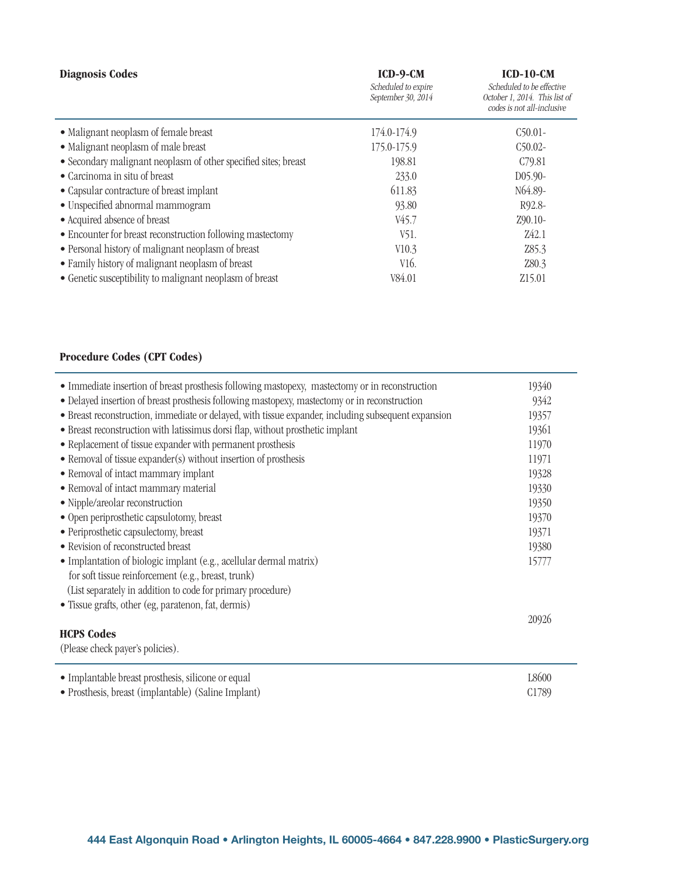| <b>Diagnosis Codes</b>                                          | ICD-9-CM<br>Scheduled to expire<br>September 30, 2014 | $ICD-10-CM$<br>Scheduled to be effective<br>October 1, 2014. This list of<br>codes is not all-inclusive |
|-----------------------------------------------------------------|-------------------------------------------------------|---------------------------------------------------------------------------------------------------------|
| • Malignant neoplasm of female breast                           | 174.0-174.9                                           | $C50.01-$                                                                                               |
| • Malignant neoplasm of male breast                             | 175.0-175.9                                           | $C50.02-$                                                                                               |
| • Secondary malignant neoplasm of other specified sites; breast | 198.81                                                | C79.81                                                                                                  |
| • Carcinoma in situ of breast                                   | 233.0                                                 | $D05.90-$                                                                                               |
| • Capsular contracture of breast implant                        | 611.83                                                | N64.89-                                                                                                 |
| • Unspecified abnormal mammogram                                | 93.80                                                 | R92.8-                                                                                                  |
| • Acquired absence of breast                                    | V <sub>45.7</sub>                                     | Z90.10-                                                                                                 |
| • Encounter for breast reconstruction following mastectomy      | V51.                                                  | Z <sub>42.1</sub>                                                                                       |
| • Personal history of malignant neoplasm of breast              | V10.3                                                 | Z85.3                                                                                                   |
| • Family history of malignant neoplasm of breast                | V <sub>16</sub> .                                     | Z80.3                                                                                                   |
| • Genetic susceptibility to malignant neoplasm of breast        | V84.01                                                | Z <sub>15.01</sub>                                                                                      |

# **Procedure Codes (CPT Codes)**

| • Immediate insertion of breast prosthesis following mastopexy, mastectomy or in reconstruction     | 19340 |
|-----------------------------------------------------------------------------------------------------|-------|
| • Delayed insertion of breast prosthesis following mastopexy, mastectomy or in reconstruction       | 9342  |
| • Breast reconstruction, immediate or delayed, with tissue expander, including subsequent expansion | 19357 |
| • Breast reconstruction with latissimus dorsi flap, without prosthetic implant                      | 19361 |
| • Replacement of tissue expander with permanent prosthesis                                          | 11970 |
| • Removal of tissue expander(s) without insertion of prosthesis                                     | 11971 |
| • Removal of intact mammary implant                                                                 | 19328 |
| • Removal of intact mammary material                                                                | 19330 |
| • Nipple/areolar reconstruction                                                                     | 19350 |
| • Open periprosthetic capsulotomy, breast                                                           | 19370 |
| • Periprosthetic capsulectomy, breast                                                               | 19371 |
| • Revision of reconstructed breast                                                                  | 19380 |
| • Implantation of biologic implant (e.g., acellular dermal matrix)                                  | 15777 |
| for soft tissue reinforcement (e.g., breast, trunk)                                                 |       |
| (List separately in addition to code for primary procedure)                                         |       |
| • Tissue grafts, other (eg, paratenon, fat, dermis)                                                 |       |
|                                                                                                     | 20926 |
| <b>HCPS Codes</b>                                                                                   |       |
| (Please check payer's policies).                                                                    |       |
| • Implantable breast prosthesis, silicone or equal                                                  | L8600 |
| • Prosthesis, breast (implantable) (Saline Implant)                                                 | C1789 |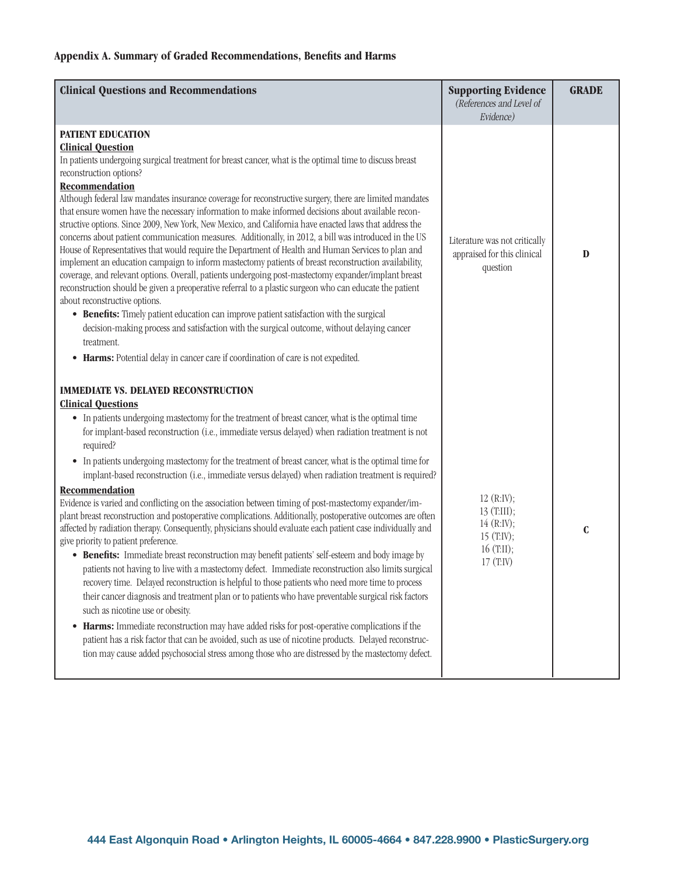# **Appendix A. Summary of Graded Recommendations, Benefits and Harms**

| <b>Clinical Questions and Recommendations</b>                                                                                                                                                                                                                                                                                                                                                                                                                                                                                                                                                                                                                                                                                                                                                                                                                                                                                                                                                                                                                                                                                                                                                                                                                                                                                                                                                                                                                                                                                                                                                                                                                                               | <b>Supporting Evidence</b><br>(References and Level of<br>Evidence)                        | <b>GRADE</b> |
|---------------------------------------------------------------------------------------------------------------------------------------------------------------------------------------------------------------------------------------------------------------------------------------------------------------------------------------------------------------------------------------------------------------------------------------------------------------------------------------------------------------------------------------------------------------------------------------------------------------------------------------------------------------------------------------------------------------------------------------------------------------------------------------------------------------------------------------------------------------------------------------------------------------------------------------------------------------------------------------------------------------------------------------------------------------------------------------------------------------------------------------------------------------------------------------------------------------------------------------------------------------------------------------------------------------------------------------------------------------------------------------------------------------------------------------------------------------------------------------------------------------------------------------------------------------------------------------------------------------------------------------------------------------------------------------------|--------------------------------------------------------------------------------------------|--------------|
| <b>PATIENT EDUCATION</b><br><b>Clinical Question</b><br>In patients undergoing surgical treatment for breast cancer, what is the optimal time to discuss breast<br>reconstruction options?<br>Recommendation<br>Although federal law mandates insurance coverage for reconstructive surgery, there are limited mandates<br>that ensure women have the necessary information to make informed decisions about available recon-<br>structive options. Since 2009, New York, New Mexico, and California have enacted laws that address the<br>concerns about patient communication measures. Additionally, in 2012, a bill was introduced in the US<br>House of Representatives that would require the Department of Health and Human Services to plan and<br>implement an education campaign to inform mastectomy patients of breast reconstruction availability,<br>coverage, and relevant options. Overall, patients undergoing post-mastectomy expander/implant breast<br>reconstruction should be given a preoperative referral to a plastic surgeon who can educate the patient<br>about reconstructive options.<br>• Benefits: Timely patient education can improve patient satisfaction with the surgical<br>decision-making process and satisfaction with the surgical outcome, without delaying cancer<br>treatment.<br>• Harms: Potential delay in cancer care if coordination of care is not expedited.                                                                                                                                                                                                                                                                            | Literature was not critically<br>appraised for this clinical<br>question                   | D            |
| <b>IMMEDIATE VS. DELAYED RECONSTRUCTION</b><br><b>Clinical Questions</b><br>• In patients undergoing mastectomy for the treatment of breast cancer, what is the optimal time<br>for implant-based reconstruction (i.e., immediate versus delayed) when radiation treatment is not<br>required?<br>• In patients undergoing mastectomy for the treatment of breast cancer, what is the optimal time for<br>implant-based reconstruction (i.e., immediate versus delayed) when radiation treatment is required?<br><b>Recommendation</b><br>Evidence is varied and conflicting on the association between timing of post-mastectomy expander/im-<br>plant breast reconstruction and postoperative complications. Additionally, postoperative outcomes are often<br>affected by radiation therapy. Consequently, physicians should evaluate each patient case individually and<br>give priority to patient preference.<br>• Benefits: Immediate breast reconstruction may benefit patients' self-esteem and body image by<br>patients not having to live with a mastectomy defect. Immediate reconstruction also limits surgical<br>recovery time. Delayed reconstruction is helpful to those patients who need more time to process<br>their cancer diagnosis and treatment plan or to patients who have preventable surgical risk factors<br>such as nicotine use or obesity.<br>• Harms: Immediate reconstruction may have added risks for post-operative complications if the<br>patient has a risk factor that can be avoided, such as use of nicotine products. Delayed reconstruc-<br>tion may cause added psychosocial stress among those who are distressed by the mastectomy defect. | 12 $(R:IV);$<br>$13$ (T:III);<br>14 $(R:IV);$<br>15 $(T:IV);$<br>$16$ (T:II);<br>17 (T:IV) | $\mathbf C$  |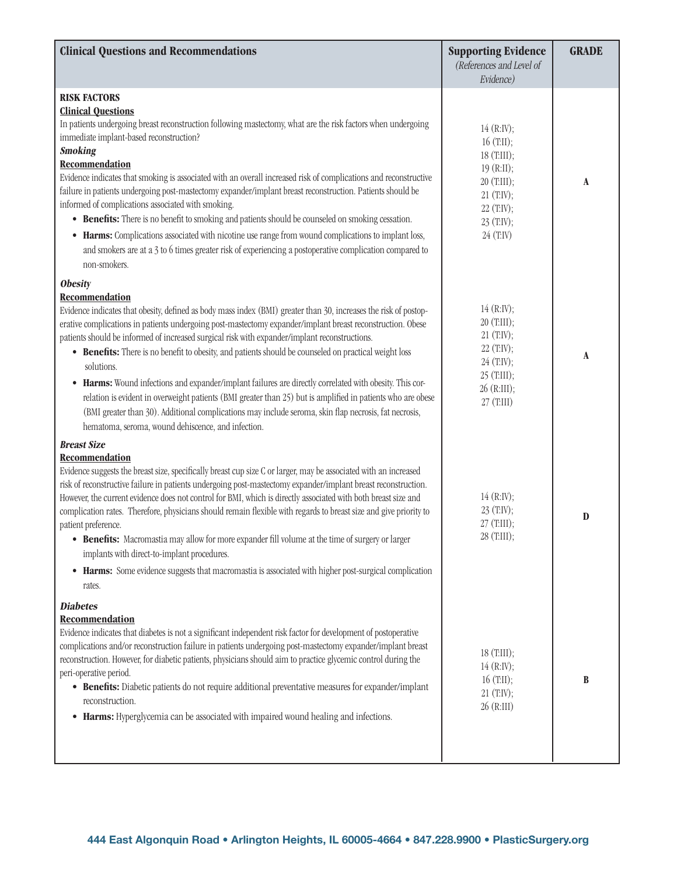| <b>Clinical Questions and Recommendations</b>                                                                                                                                                                                                                                                                                                                                                                                                                                                                                                                                                                                                                                                                                                                                                                                                                                       | <b>Supporting Evidence</b><br>(References and Level of<br>Evidence)                                                                     | <b>GRADE</b> |
|-------------------------------------------------------------------------------------------------------------------------------------------------------------------------------------------------------------------------------------------------------------------------------------------------------------------------------------------------------------------------------------------------------------------------------------------------------------------------------------------------------------------------------------------------------------------------------------------------------------------------------------------------------------------------------------------------------------------------------------------------------------------------------------------------------------------------------------------------------------------------------------|-----------------------------------------------------------------------------------------------------------------------------------------|--------------|
| <b>RISK FACTORS</b><br><b>Clinical Questions</b><br>In patients undergoing breast reconstruction following mastectomy, what are the risk factors when undergoing<br>immediate implant-based reconstruction?<br><b>Smoking</b><br>Recommendation<br>Evidence indicates that smoking is associated with an overall increased risk of complications and reconstructive<br>failure in patients undergoing post-mastectomy expander/implant breast reconstruction. Patients should be<br>informed of complications associated with smoking.<br>• Benefits: There is no benefit to smoking and patients should be counseled on smoking cessation.<br>Harms: Complications associated with nicotine use range from wound complications to implant loss,<br>٠<br>and smokers are at a 3 to 6 times greater risk of experiencing a postoperative complication compared to<br>non-smokers.    | 14 $(R:IV);$<br>$16$ (T:II);<br>18 (T:III);<br>19 $(R:II);$<br>20 (T:III);<br>$21$ (T:IV);<br>$22$ (T:IV);<br>$23$ (T:IV);<br>24 (T:IV) | A            |
| <b>Obesity</b><br>Recommendation<br>Evidence indicates that obesity, defined as body mass index (BMI) greater than 30, increases the risk of postop-<br>erative complications in patients undergoing post-mastectomy expander/implant breast reconstruction. Obese<br>patients should be informed of increased surgical risk with expander/implant reconstructions.<br>• Benefits: There is no benefit to obesity, and patients should be counseled on practical weight loss<br>solutions.<br>• Harms: Wound infections and expander/implant failures are directly correlated with obesity. This cor-<br>relation is evident in overweight patients (BMI greater than 25) but is amplified in patients who are obese<br>(BMI greater than 30). Additional complications may include seroma, skin flap necrosis, fat necrosis,<br>hematoma, seroma, wound dehiscence, and infection. | 14 $(R:IV);$<br>$20$ (T:III);<br>$21$ (T:IV);<br>$22$ (T:IV);<br>24 (T:IV);<br>$25$ (T:III);<br>$26$ (R:III);<br>27 (T:III)             | A            |
| <b>Breast Size</b><br>Recommendation<br>Evidence suggests the breast size, specifically breast cup size C or larger, may be associated with an increased<br>risk of reconstructive failure in patients undergoing post-mastectomy expander/implant breast reconstruction.<br>However, the current evidence does not control for BMI, which is directly associated with both breast size and<br>complication rates. Therefore, physicians should remain flexible with regards to breast size and give priority to<br>patient preference.<br>• Benefits: Macromastia may allow for more expander fill volume at the time of surgery or larger<br>implants with direct-to-implant procedures.<br>Harms: Some evidence suggests that macromastia is associated with higher post-surgical complication<br>٠<br>rates.                                                                    | 14 $(R:IV);$<br>23 (T:IV);<br>$27$ (T:III);<br>28 (T:III);                                                                              | D            |
| <b>Diabetes</b><br><b>Recommendation</b><br>Evidence indicates that diabetes is not a significant independent risk factor for development of postoperative<br>complications and/or reconstruction failure in patients undergoing post-mastectomy expander/implant breast<br>reconstruction. However, for diabetic patients, physicians should aim to practice glycemic control during the<br>peri-operative period.<br>• Benefits: Diabetic patients do not require additional preventative measures for expander/implant<br>reconstruction.<br>Harms: Hyperglycemia can be associated with impaired wound healing and infections.<br>٠                                                                                                                                                                                                                                             | $18$ (T:III);<br>14 $(R:IV);$<br>$16$ (T:II);<br>$21$ (T:IV);<br>26 (R:III)                                                             | B            |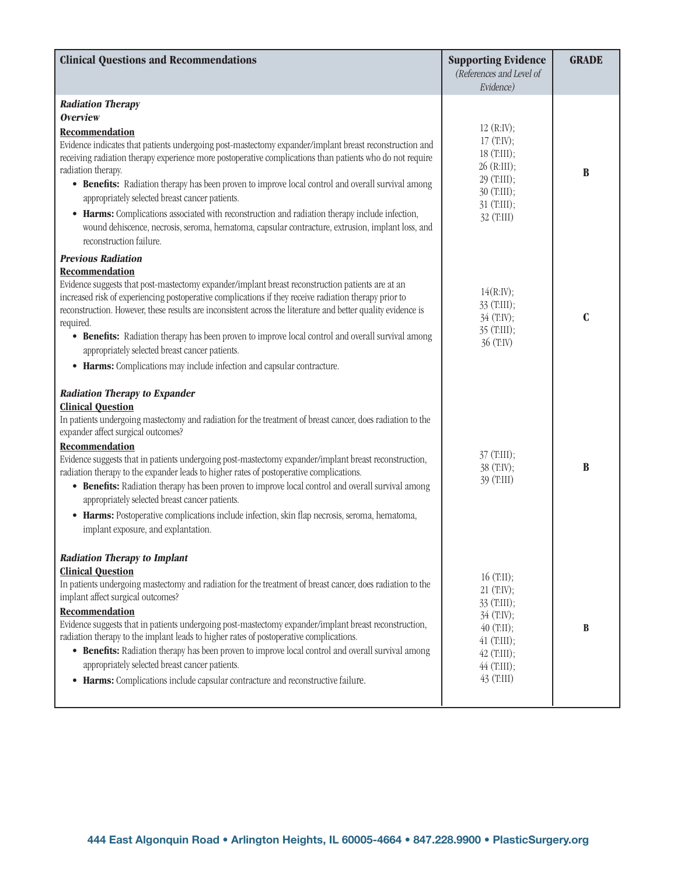| <b>Clinical Questions and Recommendations</b>                                                                                                                                                                                                                                                                                                                                                                                                                                                                                                                                                                                                                                                                                            | <b>Supporting Evidence</b><br>(References and Level of<br>Evidence)                                                                              | <b>GRADE</b> |
|------------------------------------------------------------------------------------------------------------------------------------------------------------------------------------------------------------------------------------------------------------------------------------------------------------------------------------------------------------------------------------------------------------------------------------------------------------------------------------------------------------------------------------------------------------------------------------------------------------------------------------------------------------------------------------------------------------------------------------------|--------------------------------------------------------------------------------------------------------------------------------------------------|--------------|
| <b>Radiation Therapy</b><br><b>Overview</b><br>Recommendation<br>Evidence indicates that patients undergoing post-mastectomy expander/implant breast reconstruction and<br>receiving radiation therapy experience more postoperative complications than patients who do not require<br>radiation therapy.<br>• Benefits: Radiation therapy has been proven to improve local control and overall survival among<br>appropriately selected breast cancer patients.<br>• Harms: Complications associated with reconstruction and radiation therapy include infection,<br>wound dehiscence, necrosis, seroma, hematoma, capsular contracture, extrusion, implant loss, and                                                                   | 12 $(R:IV);$<br>$17$ (T:IV);<br>$18$ (T:III);<br>$26$ (R:III);<br>$29$ (T:III);<br>$30$ (T:III);<br>$31$ (T:III);<br>32 (T:III)                  | B            |
| reconstruction failure.<br><b>Previous Radiation</b><br>Recommendation<br>Evidence suggests that post-mastectomy expander/implant breast reconstruction patients are at an<br>increased risk of experiencing postoperative complications if they receive radiation therapy prior to<br>reconstruction. However, these results are inconsistent across the literature and better quality evidence is<br>required.<br>• Benefits: Radiation therapy has been proven to improve local control and overall survival among<br>appropriately selected breast cancer patients.<br>• Harms: Complications may include infection and capsular contracture.                                                                                        | 14(R:IV);<br>33 (T:III);<br>$34$ (T:IV);<br>35 (T:III);<br>36 (T:IV)                                                                             | C            |
| <b>Radiation Therapy to Expander</b><br><b>Clinical Question</b><br>In patients undergoing mastectomy and radiation for the treatment of breast cancer, does radiation to the<br>expander affect surgical outcomes?<br>Recommendation<br>Evidence suggests that in patients undergoing post-mastectomy expander/implant breast reconstruction,<br>radiation therapy to the expander leads to higher rates of postoperative complications.<br>• Benefits: Radiation therapy has been proven to improve local control and overall survival among<br>appropriately selected breast cancer patients.<br>• Harms: Postoperative complications include infection, skin flap necrosis, seroma, hematoma,<br>implant exposure, and explantation. | $37$ (T:III);<br>38 (T:IV);<br>39 (T:III)                                                                                                        | B            |
| <b>Radiation Therapy to Implant</b><br><b>Clinical Question</b><br>In patients undergoing mastectomy and radiation for the treatment of breast cancer, does radiation to the<br>implant affect surgical outcomes?<br>Recommendation<br>Evidence suggests that in patients undergoing post-mastectomy expander/implant breast reconstruction,<br>radiation therapy to the implant leads to higher rates of postoperative complications.<br>• Benefits: Radiation therapy has been proven to improve local control and overall survival among<br>appropriately selected breast cancer patients.<br>• Harms: Complications include capsular contracture and reconstructive failure.                                                         | $16$ (T:II);<br>$21$ (T:IV);<br>$33$ (T:III);<br>$34$ (T:IV);<br>$40$ (T:II);<br>$41$ (T:III);<br>$42$ (T:III);<br>$44$ (T:III);<br>$43$ (T:III) | B            |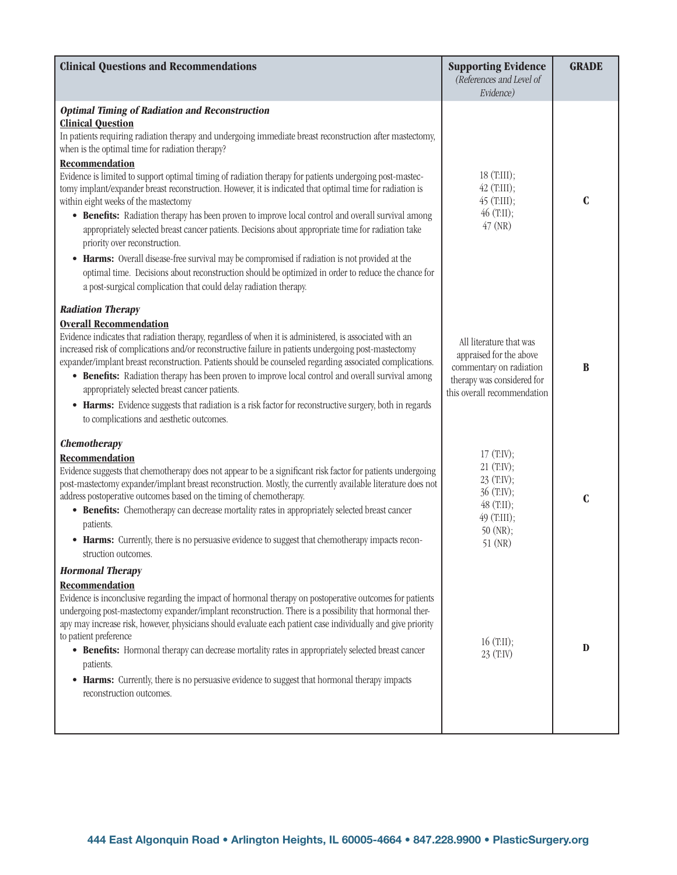| <b>Clinical Questions and Recommendations</b>                                                                                                                                                                                                                                                                                                                                                                                                                                                                                                                                                                                                                                                                                                                                                                                                                                                                                                                                                                                                            | <b>Supporting Evidence</b><br>(References and Level of<br>Evidence)                                                                        | <b>GRADE</b> |
|----------------------------------------------------------------------------------------------------------------------------------------------------------------------------------------------------------------------------------------------------------------------------------------------------------------------------------------------------------------------------------------------------------------------------------------------------------------------------------------------------------------------------------------------------------------------------------------------------------------------------------------------------------------------------------------------------------------------------------------------------------------------------------------------------------------------------------------------------------------------------------------------------------------------------------------------------------------------------------------------------------------------------------------------------------|--------------------------------------------------------------------------------------------------------------------------------------------|--------------|
| <b>Optimal Timing of Radiation and Reconstruction</b><br><b>Clinical Question</b><br>In patients requiring radiation therapy and undergoing immediate breast reconstruction after mastectomy,<br>when is the optimal time for radiation therapy?<br>Recommendation<br>Evidence is limited to support optimal timing of radiation therapy for patients undergoing post-mastec-<br>tomy implant/expander breast reconstruction. However, it is indicated that optimal time for radiation is<br>within eight weeks of the mastectomy<br>• Benefits: Radiation therapy has been proven to improve local control and overall survival among<br>appropriately selected breast cancer patients. Decisions about appropriate time for radiation take<br>priority over reconstruction.<br>• Harms: Overall disease-free survival may be compromised if radiation is not provided at the<br>optimal time. Decisions about reconstruction should be optimized in order to reduce the chance for<br>a post-surgical complication that could delay radiation therapy. | $18$ (T:III);<br>$42$ (T:III);<br>$45$ (T:III);<br>$46$ (T:II);<br>47 (NR)                                                                 | C            |
| <b>Radiation Therapy</b><br><b>Overall Recommendation</b><br>Evidence indicates that radiation therapy, regardless of when it is administered, is associated with an<br>increased risk of complications and/or reconstructive failure in patients undergoing post-mastectomy<br>expander/implant breast reconstruction. Patients should be counseled regarding associated complications.<br>• Benefits: Radiation therapy has been proven to improve local control and overall survival among<br>appropriately selected breast cancer patients.<br>• Harms: Evidence suggests that radiation is a risk factor for reconstructive surgery, both in regards<br>to complications and aesthetic outcomes.                                                                                                                                                                                                                                                                                                                                                    | All literature that was<br>appraised for the above<br>commentary on radiation<br>therapy was considered for<br>this overall recommendation | B            |
| Chemotherapy<br>Recommendation<br>Evidence suggests that chemotherapy does not appear to be a significant risk factor for patients undergoing<br>post-mastectomy expander/implant breast reconstruction. Mostly, the currently available literature does not<br>address postoperative outcomes based on the timing of chemotherapy.<br>• Benefits: Chemotherapy can decrease mortality rates in appropriately selected breast cancer<br>patients.<br>• Harms: Currently, there is no persuasive evidence to suggest that chemotherapy impacts recon-<br>struction outcomes.                                                                                                                                                                                                                                                                                                                                                                                                                                                                              | $17$ (T:IV);<br>$21$ (T:IV);<br>23 (T:IV);<br>36 (T:IV);<br>48 $(T:II);$<br>49 $(T:III);$<br>$50$ (NR);<br>51 (NR)                         | C            |
| <b>Hormonal Therapy</b><br><b>Recommendation</b><br>Evidence is inconclusive regarding the impact of hormonal therapy on postoperative outcomes for patients<br>undergoing post-mastectomy expander/implant reconstruction. There is a possibility that hormonal ther-<br>apy may increase risk, however, physicians should evaluate each patient case individually and give priority<br>to patient preference<br>• Benefits: Hormonal therapy can decrease mortality rates in appropriately selected breast cancer<br>patients.<br>• Harms: Currently, there is no persuasive evidence to suggest that hormonal therapy impacts<br>reconstruction outcomes.                                                                                                                                                                                                                                                                                                                                                                                             | $16$ (T:II);<br>23 (T:IV)                                                                                                                  | D            |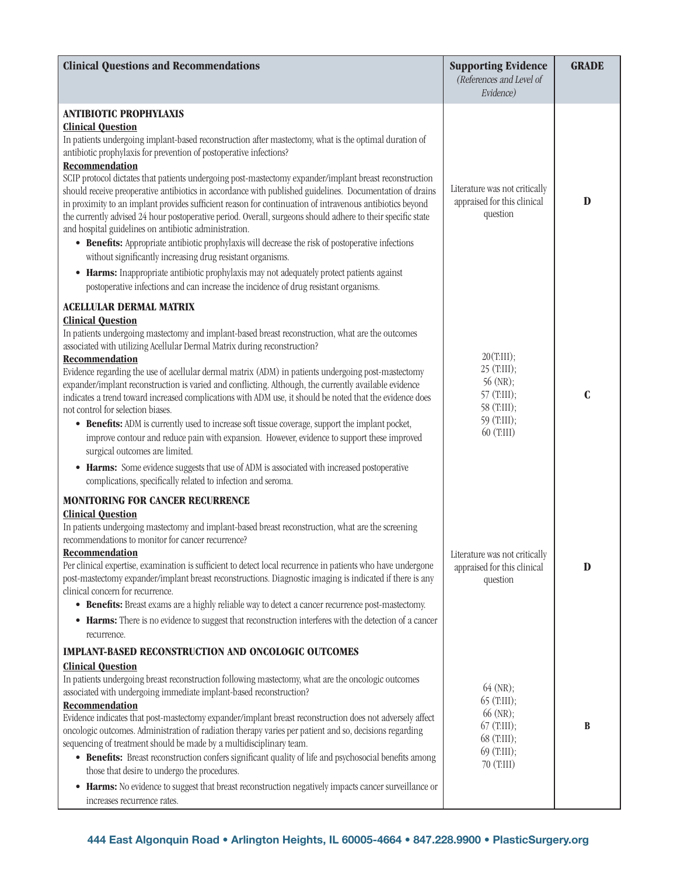| <b>Clinical Questions and Recommendations</b>                                                                                                                                                                                                                                                                                                                                                                                                                                                                                                                                                                                                                                                                                                                                                                                                                                                                                                                                                                                                                                                                                | <b>Supporting Evidence</b><br>(References and Level of<br>Evidence)                                      | <b>GRADE</b> |
|------------------------------------------------------------------------------------------------------------------------------------------------------------------------------------------------------------------------------------------------------------------------------------------------------------------------------------------------------------------------------------------------------------------------------------------------------------------------------------------------------------------------------------------------------------------------------------------------------------------------------------------------------------------------------------------------------------------------------------------------------------------------------------------------------------------------------------------------------------------------------------------------------------------------------------------------------------------------------------------------------------------------------------------------------------------------------------------------------------------------------|----------------------------------------------------------------------------------------------------------|--------------|
| <b>ANTIBIOTIC PROPHYLAXIS</b><br><b>Clinical Question</b><br>In patients undergoing implant-based reconstruction after mastectomy, what is the optimal duration of<br>antibiotic prophylaxis for prevention of postoperative infections?<br>Recommendation<br>SCIP protocol dictates that patients undergoing post-mastectomy expander/implant breast reconstruction<br>should receive preoperative antibiotics in accordance with published guidelines. Documentation of drains<br>in proximity to an implant provides sufficient reason for continuation of intravenous antibiotics beyond<br>the currently advised 24 hour postoperative period. Overall, surgeons should adhere to their specific state<br>and hospital guidelines on antibiotic administration.<br>• Benefits: Appropriate antibiotic prophylaxis will decrease the risk of postoperative infections<br>without significantly increasing drug resistant organisms.<br>• Harms: Inappropriate antibiotic prophylaxis may not adequately protect patients against<br>postoperative infections and can increase the incidence of drug resistant organisms. | Literature was not critically<br>appraised for this clinical<br>question                                 | D            |
| <b>ACELLULAR DERMAL MATRIX</b><br><b>Clinical Question</b><br>In patients undergoing mastectomy and implant-based breast reconstruction, what are the outcomes<br>associated with utilizing Acellular Dermal Matrix during reconstruction?<br>Recommendation<br>Evidence regarding the use of acellular dermal matrix (ADM) in patients undergoing post-mastectomy<br>expander/implant reconstruction is varied and conflicting. Although, the currently available evidence<br>indicates a trend toward increased complications with ADM use, it should be noted that the evidence does<br>not control for selection biases.<br>• Benefits: ADM is currently used to increase soft tissue coverage, support the implant pocket,<br>improve contour and reduce pain with expansion. However, evidence to support these improved<br>surgical outcomes are limited.<br>• Harms: Some evidence suggests that use of ADM is associated with increased postoperative<br>complications, specifically related to infection and seroma.                                                                                               | 20(T:III);<br>$25$ (T:III);<br>$56$ (NR);<br>57 (T:III);<br>58 (T:III);<br>59 (T:III);<br>60 (T:III)     | C            |
| <b>MONITORING FOR CANCER RECURRENCE</b><br><b>Clinical Question</b><br>In patients undergoing mastectomy and implant-based breast reconstruction, what are the screening<br>recommendations to monitor for cancer recurrence?<br>Recommendation<br>Per clinical expertise, examination is sufficient to detect local recurrence in patients who have undergone<br>post-mastectomy expander/implant breast reconstructions. Diagnostic imaging is indicated if there is any<br>clinical concern for recurrence.<br>• Benefits: Breast exams are a highly reliable way to detect a cancer recurrence post-mastectomy.<br>• Harms: There is no evidence to suggest that reconstruction interferes with the detection of a cancer<br>recurrence.                                                                                                                                                                                                                                                                                                                                                                                 | Literature was not critically<br>appraised for this clinical<br>question                                 | D            |
| <b>IMPLANT-BASED RECONSTRUCTION AND ONCOLOGIC OUTCOMES</b><br><b>Clinical Question</b><br>In patients undergoing breast reconstruction following mastectomy, what are the oncologic outcomes<br>associated with undergoing immediate implant-based reconstruction?<br>Recommendation<br>Evidence indicates that post-mastectomy expander/implant breast reconstruction does not adversely affect<br>oncologic outcomes. Administration of radiation therapy varies per patient and so, decisions regarding<br>sequencing of treatment should be made by a multidisciplinary team.<br>• Benefits: Breast reconstruction confers significant quality of life and psychosocial benefits among<br>those that desire to undergo the procedures.<br>• Harms: No evidence to suggest that breast reconstruction negatively impacts cancer surveillance or<br>increases recurrence rates.                                                                                                                                                                                                                                            | $64 \,(NR);$<br>$65$ (T:III);<br>$66$ (NR);<br>$67$ (T:III);<br>68 (T:III);<br>69 (T:III);<br>70 (T:III) | B            |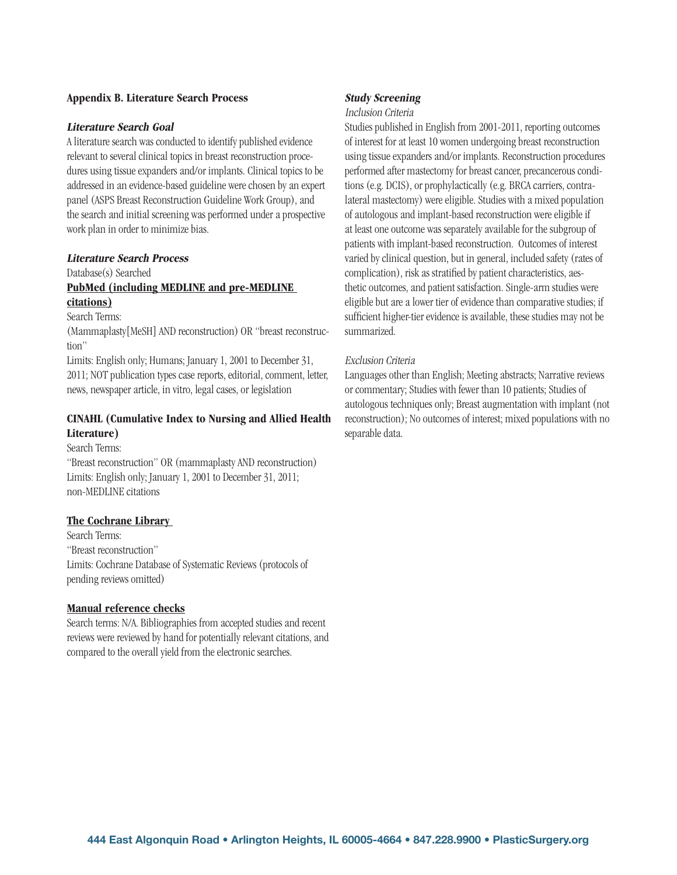## **Appendix B. Literature Search Process**

## **Literature Search Goal**

A literature search was conducted to identify published evidence relevant to several clinical topics in breast reconstruction procedures using tissue expanders and/or implants. Clinical topics to be addressed in an evidence-based guideline were chosen by an expert panel (ASPS Breast Reconstruction Guideline Work Group), and the search and initial screening was performed under a prospective work plan in order to minimize bias.

#### **Literature Search Process**

Database(s) Searched

## **PubMed (including MEDLINE and pre-MEDLINE citations)**

Search Terms:

(Mammaplasty[MeSH] AND reconstruction) OR "breast reconstruction"

Limits: English only; Humans; January 1, 2001 to December 31, 2011; NOT publication types case reports, editorial, comment, letter, news, newspaper article, in vitro, legal cases, or legislation

## **CINAHL (Cumulative Index to Nursing and Allied Health Literature)**

Search Terms:

"Breast reconstruction" OR (mammaplasty AND reconstruction) Limits: English only; January 1, 2001 to December 31, 2011; non-MEDLINE citations

## **The Cochrane Library**

Search Terms: "Breast reconstruction" Limits: Cochrane Database of Systematic Reviews (protocols of pending reviews omitted)

## **Manual reference checks**

Search terms: N/A. Bibliographies from accepted studies and recent reviews were reviewed by hand for potentially relevant citations, and compared to the overall yield from the electronic searches.

## **Study Screening**

## Inclusion Criteria

Studies published in English from 2001-2011, reporting outcomes of interest for at least 10 women undergoing breast reconstruction using tissue expanders and/or implants. Reconstruction procedures performed after mastectomy for breast cancer, precancerous conditions (e.g. DCIS), or prophylactically (e.g. BRCA carriers, contralateral mastectomy) were eligible. Studies with a mixed population of autologous and implant-based reconstruction were eligible if at least one outcome was separately available for the subgroup of patients with implant-based reconstruction. Outcomes of interest varied by clinical question, but in general, included safety (rates of complication), risk as stratified by patient characteristics, aesthetic outcomes, and patient satisfaction. Single-arm studies were eligible but are a lower tier of evidence than comparative studies; if sufficient higher-tier evidence is available, these studies may not be summarized.

## Exclusion Criteria

Languages other than English; Meeting abstracts; Narrative reviews or commentary; Studies with fewer than 10 patients; Studies of autologous techniques only; Breast augmentation with implant (not reconstruction); No outcomes of interest; mixed populations with no separable data.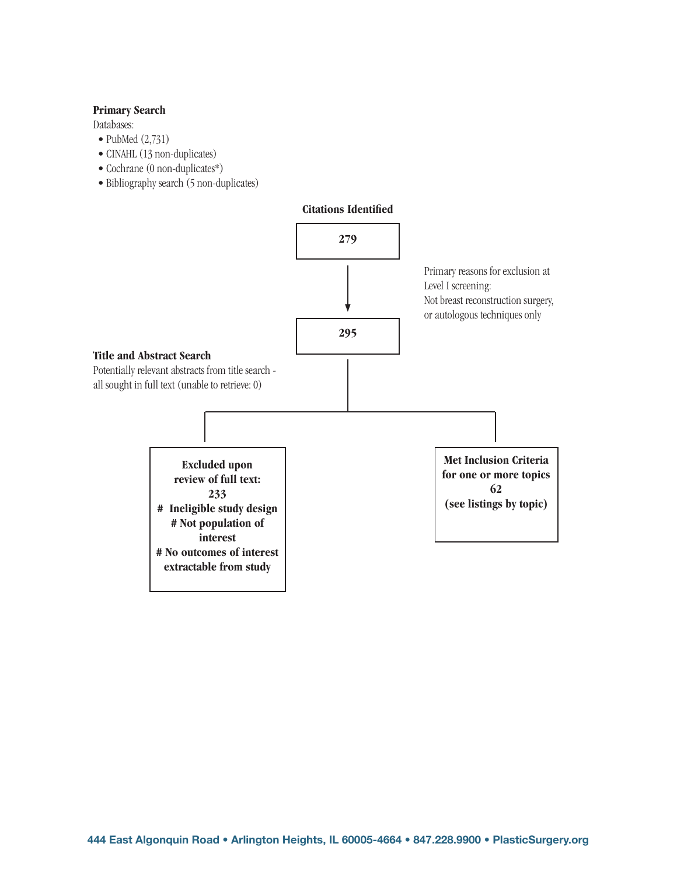## **Primary Search**

Databases:

- PubMed $(2,731)$
- CINAHL (13 non-duplicates)
- Cochrane (0 non-duplicates\*)
- Bibliography search (5 non-duplicates)



## **Citations Identified**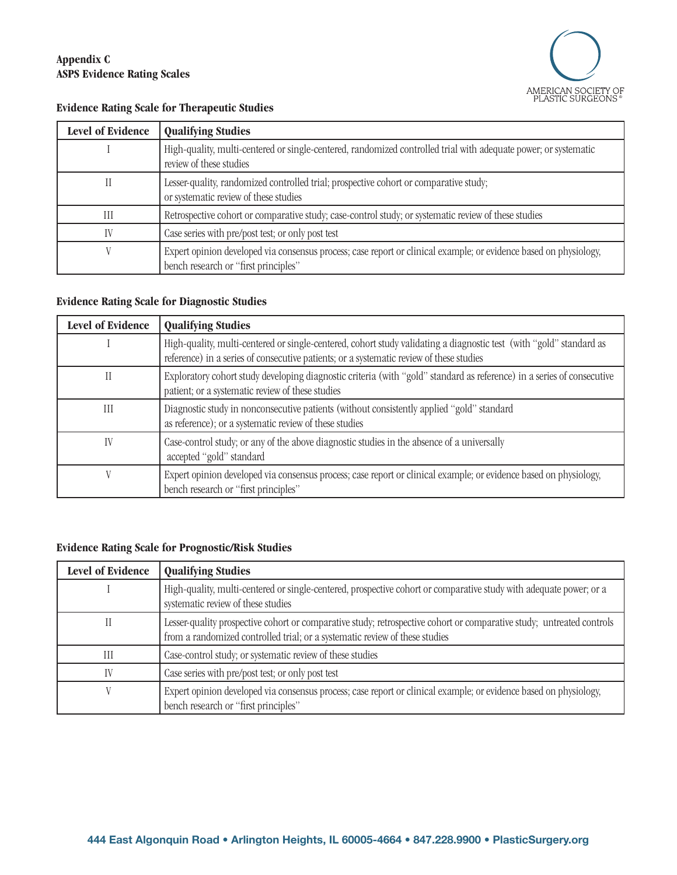# **Appendix C ASPS Evidence Rating Scales**



# **Evidence Rating Scale for Therapeutic Studies**

| <b>Level of Evidence</b> | <b>Qualifying Studies</b>                                                                                                                                 |
|--------------------------|-----------------------------------------------------------------------------------------------------------------------------------------------------------|
|                          | High-quality, multi-centered or single-centered, randomized controlled trial with adequate power; or systematic<br>review of these studies                |
| П                        | Lesser-quality, randomized controlled trial; prospective cohort or comparative study;<br>or systematic review of these studies                            |
| Ш                        | Retrospective cohort or comparative study; case-control study; or systematic review of these studies                                                      |
| IV                       | Case series with pre/post test; or only post test                                                                                                         |
|                          | Expert opinion developed via consensus process; case report or clinical example; or evidence based on physiology,<br>bench research or "first principles" |

## **Evidence Rating Scale for Diagnostic Studies**

| <b>Level of Evidence</b> | <b>Qualifying Studies</b>                                                                                                                                                                                      |
|--------------------------|----------------------------------------------------------------------------------------------------------------------------------------------------------------------------------------------------------------|
|                          | High-quality, multi-centered or single-centered, cohort study validating a diagnostic test (with "gold" standard as<br>reference) in a series of consecutive patients; or a systematic review of these studies |
| Н                        | Exploratory cohort study developing diagnostic criteria (with "gold" standard as reference) in a series of consecutive<br>patient; or a systematic review of these studies                                     |
| Ш                        | Diagnostic study in nonconsecutive patients (without consistently applied "gold" standard<br>as reference); or a systematic review of these studies                                                            |
| IV                       | Case-control study; or any of the above diagnostic studies in the absence of a universally<br>accepted "gold" standard                                                                                         |
|                          | Expert opinion developed via consensus process; case report or clinical example; or evidence based on physiology,<br>bench research or "first principles"                                                      |

# **Evidence Rating Scale for Prognostic/Risk Studies**

| <b>Level of Evidence</b> | <b>Qualifying Studies</b>                                                                                                                                                                            |
|--------------------------|------------------------------------------------------------------------------------------------------------------------------------------------------------------------------------------------------|
|                          | High-quality, multi-centered or single-centered, prospective cohort or comparative study with adequate power; or a<br>systematic review of these studies                                             |
|                          | Lesser-quality prospective cohort or comparative study; retrospective cohort or comparative study; untreated controls<br>from a randomized controlled trial; or a systematic review of these studies |
| Ш                        | Case-control study; or systematic review of these studies                                                                                                                                            |
| IV                       | Case series with pre/post test; or only post test                                                                                                                                                    |
|                          | Expert opinion developed via consensus process; case report or clinical example; or evidence based on physiology,<br>bench research or "first principles"                                            |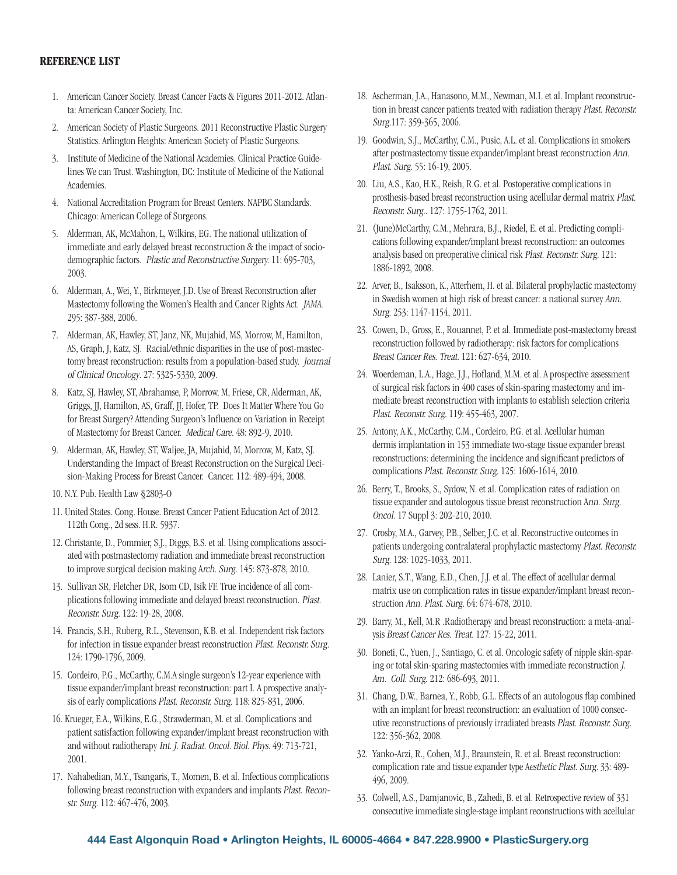#### **REFERENCE LIST**

- 1. American Cancer Society. Breast Cancer Facts & Figures 2011-2012. Atlanta: American Cancer Society, Inc.
- 2. American Society of Plastic Surgeons. 2011 Reconstructive Plastic Surgery Statistics. Arlington Heights: American Society of Plastic Surgeons.
- 3. Institute of Medicine of the National Academies. Clinical Practice Guidelines We can Trust. Washington, DC: Institute of Medicine of the National Academies.
- 4. National Accreditation Program for Breast Centers. NAPBC Standards. Chicago: American College of Surgeons.
- 5. Alderman, AK, McMahon, L, Wilkins, EG. The national utilization of immediate and early delayed breast reconstruction & the impact of sociodemographic factors. Plastic and Reconstructive Surgery. 11: 695-703, 2003.
- 6. Alderman, A., Wei, Y., Birkmeyer, J.D. Use of Breast Reconstruction after Mastectomy following the Women's Health and Cancer Rights Act. JAMA. 295: 387-388, 2006.
- 7. Alderman, AK, Hawley, ST, Janz, NK, Mujahid, MS, Morrow, M, Hamilton, AS, Graph, J, Katz, SJ. Racial/ethnic disparities in the use of post-mastectomy breast reconstruction: results from a population-based study. Journal of Clinical Oncology. 27: 5325-5330, 2009.
- 8. Katz, SJ, Hawley, ST, Abrahamse, P, Morrow, M, Friese, CR, Alderman, AK, Griggs, JJ, Hamilton, AS, Graff, JJ, Hofer, TP. Does It Matter Where You Go for Breast Surgery? Attending Surgeon's Influence on Variation in Receipt of Mastectomy for Breast Cancer. Medical Care. 48: 892-9, 2010.
- 9. Alderman, AK, Hawley, ST, Waljee, JA, Mujahid, M, Morrow, M, Katz, SJ. Understanding the Impact of Breast Reconstruction on the Surgical Decision-Making Process for Breast Cancer. Cancer. 112: 489-494, 2008.
- 10. N.Y. Pub. Health Law §2803-O
- 11. United States. Cong. House. Breast Cancer Patient Education Act of 2012. 112th Cong., 2d sess. H.R. 5937.
- 12. Christante, D., Pommier, S.J., Diggs, B.S. et al. Using complications associated with postmastectomy radiation and immediate breast reconstruction to improve surgical decision making Arch. Surg. 145: 873-878, 2010.
- 13. Sullivan SR, Fletcher DR, Isom CD, Isik FF. True incidence of all complications following immediate and delayed breast reconstruction. Plast. Reconstr. Surg. 122: 19-28, 2008.
- 14. Francis, S.H., Ruberg, R.L., Stevenson, K.B. et al. Independent risk factors for infection in tissue expander breast reconstruction Plast. Reconstr. Surg. 124: 1790-1796, 2009.
- 15. Cordeiro, P.G., McCarthy, C.M.A single surgeon's 12-year experience with tissue expander/implant breast reconstruction: part I. A prospective analysis of early complications Plast. Reconstr. Surg. 118: 825-831, 2006.
- 16. Krueger, E.A., Wilkins, E.G., Strawderman, M. et al. Complications and patient satisfaction following expander/implant breast reconstruction with and without radiotherapy Int. J. Radiat. Oncol. Biol. Phys. 49: 713-721, 2001.
- 17. Nahabedian, M.Y., Tsangaris, T., Momen, B. et al. Infectious complications following breast reconstruction with expanders and implants Plast. Reconstr. Surg. 112: 467-476, 2003.
- 18. Ascherman, J.A., Hanasono, M.M., Newman, M.I. et al. Implant reconstruction in breast cancer patients treated with radiation therapy Plast. Reconstr. Surg.117: 359-365, 2006.
- 19. Goodwin, S.J., McCarthy, C.M., Pusic, A.L. et al. Complications in smokers after postmastectomy tissue expander/implant breast reconstruction Ann. Plast. Surg. 55: 16-19, 2005.
- 20. Liu, A.S., Kao, H.K., Reish, R.G. et al. Postoperative complications in prosthesis-based breast reconstruction using acellular dermal matrix Plast. Reconstr. Surg.. 127: 1755-1762, 2011.
- 21. (June)McCarthy, C.M., Mehrara, B.J., Riedel, E. et al. Predicting complications following expander/implant breast reconstruction: an outcomes analysis based on preoperative clinical risk Plast. Reconstr. Surg. 121: 1886-1892, 2008.
- 22. Arver, B., Isaksson, K., Atterhem, H. et al. Bilateral prophylactic mastectomy in Swedish women at high risk of breast cancer: a national survey Ann. Surg. 253: 1147-1154, 2011.
- 23. Cowen, D., Gross, E., Rouannet, P. et al. Immediate post-mastectomy breast reconstruction followed by radiotherapy: risk factors for complications Breast Cancer Res. Treat. 121: 627-634, 2010.
- 24. Woerdeman, L.A., Hage, J.J., Hofland, M.M. et al. A prospective assessment of surgical risk factors in 400 cases of skin-sparing mastectomy and immediate breast reconstruction with implants to establish selection criteria Plast. Reconstr. Surg. 119: 455-463, 2007.
- 25. Antony, A.K., McCarthy, C.M., Cordeiro, P.G. et al. Acellular human dermis implantation in 153 immediate two-stage tissue expander breast reconstructions: determining the incidence and significant predictors of complications Plast. Reconstr. Surg. 125: 1606-1614, 2010.
- 26. Berry, T., Brooks, S., Sydow, N. et al. Complication rates of radiation on tissue expander and autologous tissue breast reconstruction Ann. Surg. Oncol. 17 Suppl 3: 202-210, 2010.
- 27. Crosby, M.A., Garvey, P.B., Selber, J.C. et al. Reconstructive outcomes in patients undergoing contralateral prophylactic mastectomy Plast. Reconstr. Surg. 128: 1025-1033, 2011.
- 28. Lanier, S.T., Wang, E.D., Chen, J.J. et al. The effect of acellular dermal matrix use on complication rates in tissue expander/implant breast reconstruction Ann. Plast. Surg. 64: 674-678, 2010.
- 29. Barry, M., Kell, M.R .Radiotherapy and breast reconstruction: a meta-analysis Breast Cancer Res. Treat. 127: 15-22, 2011.
- 30. Boneti, C., Yuen, J., Santiago, C. et al. Oncologic safety of nipple skin-sparing or total skin-sparing mastectomies with immediate reconstruction J. Am. Coll. Surg. 212: 686-693, 2011.
- 31. Chang, D.W., Barnea, Y., Robb, G.L. Effects of an autologous flap combined with an implant for breast reconstruction: an evaluation of 1000 consecutive reconstructions of previously irradiated breasts Plast. Reconstr. Surg. 122: 356-362, 2008.
- 32. Yanko-Arzi, R., Cohen, M.J., Braunstein, R. et al. Breast reconstruction: complication rate and tissue expander type Aesthetic Plast. Surg. 33: 489- 496, 2009.
- 33. Colwell, A.S., Damjanovic, B., Zahedi, B. et al. Retrospective review of 331 consecutive immediate single-stage implant reconstructions with acellular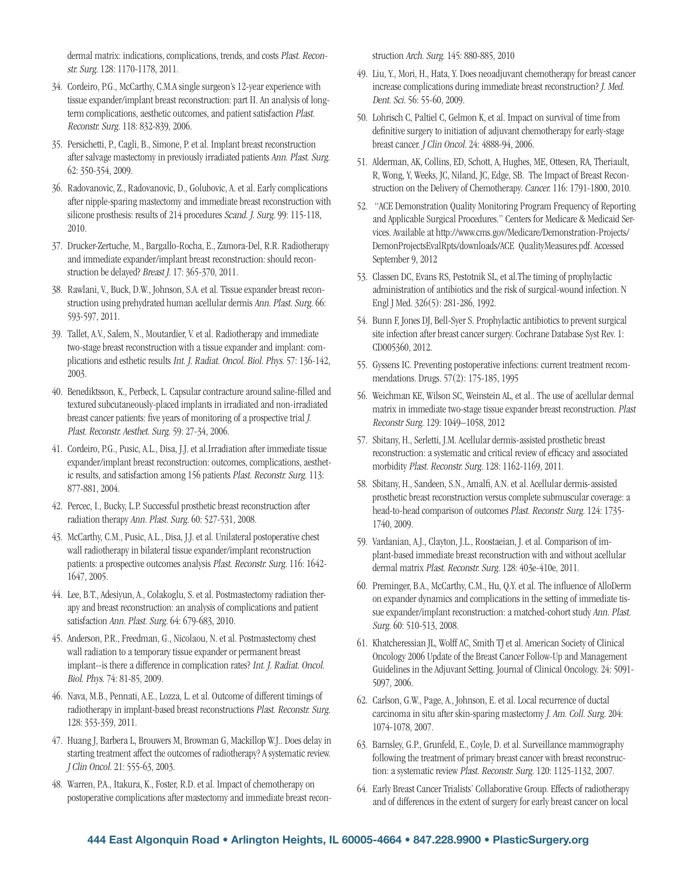dermal matrix: indications, complications, trends, and costs Plast. Reconstr. Surg. 128: 1170-1178, 2011.

- 34. Cordeiro, P.G., McCarthy, C.M.A single surgeon's 12-year experience with tissue expander/implant breast reconstruction: part II. An analysis of longterm complications, aesthetic outcomes, and patient satisfaction Plast. Reconstr. Surg. 118: 832-839, 2006.
- 35. Persichetti, P., Cagli, B., Simone, P. et al. Implant breast reconstruction after salvage mastectomy in previously irradiated patients Ann. Plast. Surg. 62: 350-354, 2009.
- 36. Radovanovic, Z., Radovanovic, D., Golubovic, A. et al. Early complications after nipple-sparing mastectomy and immediate breast reconstruction with silicone prosthesis: results of 214 procedures Scand. J. Surg. 99: 115-118, 2010.
- 37. Drucker-Zertuche, M., Bargallo-Rocha, E.,Zamora-Del, R.R. Radiotherapy and immediate expander/implant breast reconstruction: should reconstruction be delayed? Breast J. 17: 365-370, 2011.
- 38. Rawlani, V., Buck, D.W., Johnson, S.A. et al. Tissue expander breast reconstruction using prehydrated human acellular dermis Ann. Plast. Surg. 66: 593-597, 2011.
- 39. Tallet, A.V., Salem, N., Moutardier, V. et al. Radiotherapy and immediate two-stage breast reconstruction with a tissue expander and implant: complications and esthetic results Int. J. Radiat. Oncol. Biol. Phys. 57: 136-142, 2003.
- 40. Benediktsson, K., Perbeck, L. Capsular contracture around saline-filled and textured subcutaneously-placed implants in irradiated and non-irradiated breast cancer patients: five years of monitoring of a prospective trial J. Plast. Reconstr. Aesthet. Surg. 59: 27-34, 2006.
- 41. Cordeiro, P.G., Pusic, A.L., Disa, J.J. et al.Irradiation after immediate tissue expander/implant breast reconstruction: outcomes, complications, aesthetic results, and satisfaction among 156 patients Plast. Reconstr. Surg. 113: 877-881, 2004.
- 42. Percec, I., Bucky, L.P. Successful prosthetic breast reconstruction after radiation therapy Ann. Plast. Surg. 60: 527-531, 2008.
- 43. McCarthy, C.M., Pusic, A.L., Disa, J.J. et al. Unilateral postoperative chest wall radiotherapy in bilateral tissue expander/implant reconstruction patients: a prospective outcomes analysis Plast. Reconstr. Surg. 116: 1642- 1647, 2005.
- 44. Lee, B.T., Adesiyun, A., Colakoglu, S. et al. Postmastectomy radiation therapy and breast reconstruction: an analysis of complications and patient satisfaction Ann. Plast. Surg. 64: 679-683, 2010.
- 45. Anderson, P.R., Freedman, G., Nicolaou, N. et al. Postmastectomy chest wall radiation to a temporary tissue expander or permanent breast implant--is there a difference in complication rates? Int. J. Radiat. Oncol. Biol. Phys. 74: 81-85, 2009.
- 46. Nava, M.B., Pennati, A.E., Lozza, L. et al. Outcome of different timings of radiotherapy in implant-based breast reconstructions Plast. Reconstr. Surg. 128: 353-359, 2011.
- 47. Huang J, Barbera L, Brouwers M, Browman G, Mackillop W.J.. Does delay in starting treatment affect the outcomes of radiotherapy? A systematic review. J Clin Oncol. 21: 555-63, 2003.
- 48. Warren, P.A., Itakura, K., Foster, R.D. et al. Impact of chemotherapy on postoperative complications after mastectomy and immediate breast recon-

struction Arch. Surg. 145: 880-885, 2010

- 49. Liu, Y., Mori, H., Hata, Y. Does neoadjuvant chemotherapy for breast cancer increase complications during immediate breast reconstruction? J. Med. Dent. Sci. 56: 55-60, 2009.
- 50. Lohrisch C, Paltiel C, Gelmon K, et al. Impact on survival of time from definitive surgery to initiation of adjuvant chemotherapy for early-stage breast cancer. J Clin Oncol. 24: 4888-94, 2006.
- 51. Alderman, AK, Collins, ED, Schott, A, Hughes, ME, Ottesen, RA, Theriault, R, Wong, Y, Weeks, JC, Niland, JC, Edge, SB. The Impact of Breast Reconstruction on the Delivery of Chemotherapy. Cancer. 116: 1791-1800, 2010.
- 52. "ACE Demonstration Quality Monitoring Program Frequency of Reporting and Applicable Surgical Procedures." Centers for Medicare & Medicaid Services. Available at http://www.cms.gov/Medicare/Demonstration-Projects/ DemonProjectsEvalRpts/downloads/ACE QualityMeasures.pdf. Accessed September 9, 2012
- 53. Classen DC, Evans RS, Pestotnik SL, et al.The timing of prophylactic administration of antibiotics and the risk of surgical-wound infection. N Engl J Med. 326(5): 281-286, 1992.
- 54. Bunn F, Jones DJ, Bell-Syer S. Prophylactic antibiotics to prevent surgical site infection after breast cancer surgery. Cochrane Database Syst Rev. 1: CD005360, 2012.
- 55. Gyssens IC. Preventing postoperative infections: current treatment recommendations. Drugs. 57(2): 175-185, 1995
- 56. Weichman KE, Wilson SC, Weinstein AL, et al.. The use of acellular dermal matrix in immediate two-stage tissue expander breast reconstruction. Plast Reconstr Surg. 129: 1049–1058, 2012
- 57. Sbitany, H., Serletti, J.M. Acellular dermis-assisted prosthetic breast reconstruction: a systematic and critical review of efficacy and associated morbidity Plast. Reconstr. Surg. 128: 1162-1169, 2011.
- 58. Sbitany, H., Sandeen, S.N., Amalfi, A.N. et al. Acellular dermis-assisted prosthetic breast reconstruction versus complete submuscular coverage: a head-to-head comparison of outcomes Plast. Reconstr. Surg. 124: 1735- 1740, 2009.
- 59. Vardanian, A.J., Clayton, J.L., Roostaeian, J. et al. Comparison of implant-based immediate breast reconstruction with and without acellular dermal matrix Plast. Reconstr. Surg. 128: 403e-410e, 2011.
- 60. Preminger, B.A., McCarthy, C.M., Hu, Q.Y. et al. The influence of AlloDerm on expander dynamics and complications in the setting of immediate tissue expander/implant reconstruction: a matched-cohort study Ann. Plast. Surg. 60: 510-513, 2008.
- 61. Khatcheressian JL, Wolff AC, Smith TJ et al. American Society of Clinical Oncology 2006 Update of the Breast Cancer Follow-Up and Management Guidelines in the Adjuvant Setting. Journal of Clinical Oncology. 24: 5091- 5097, 2006.
- 62. Carlson, G.W., Page, A., Johnson, E. et al. Local recurrence of ductal carcinoma in situ after skin-sparing mastectomy J. Am. Coll. Surg. 204: 1074-1078, 2007.
- 63. Barnsley, G.P., Grunfeld, E., Coyle, D. et al. Surveillance mammography following the treatment of primary breast cancer with breast reconstruction: a systematic review Plast. Reconstr. Surg. 120: 1125-1132, 2007.
- 64. Early Breast Cancer Trialists' Collaborative Group. Effects of radiotherapy and of differences in the extent of surgery for early breast cancer on local